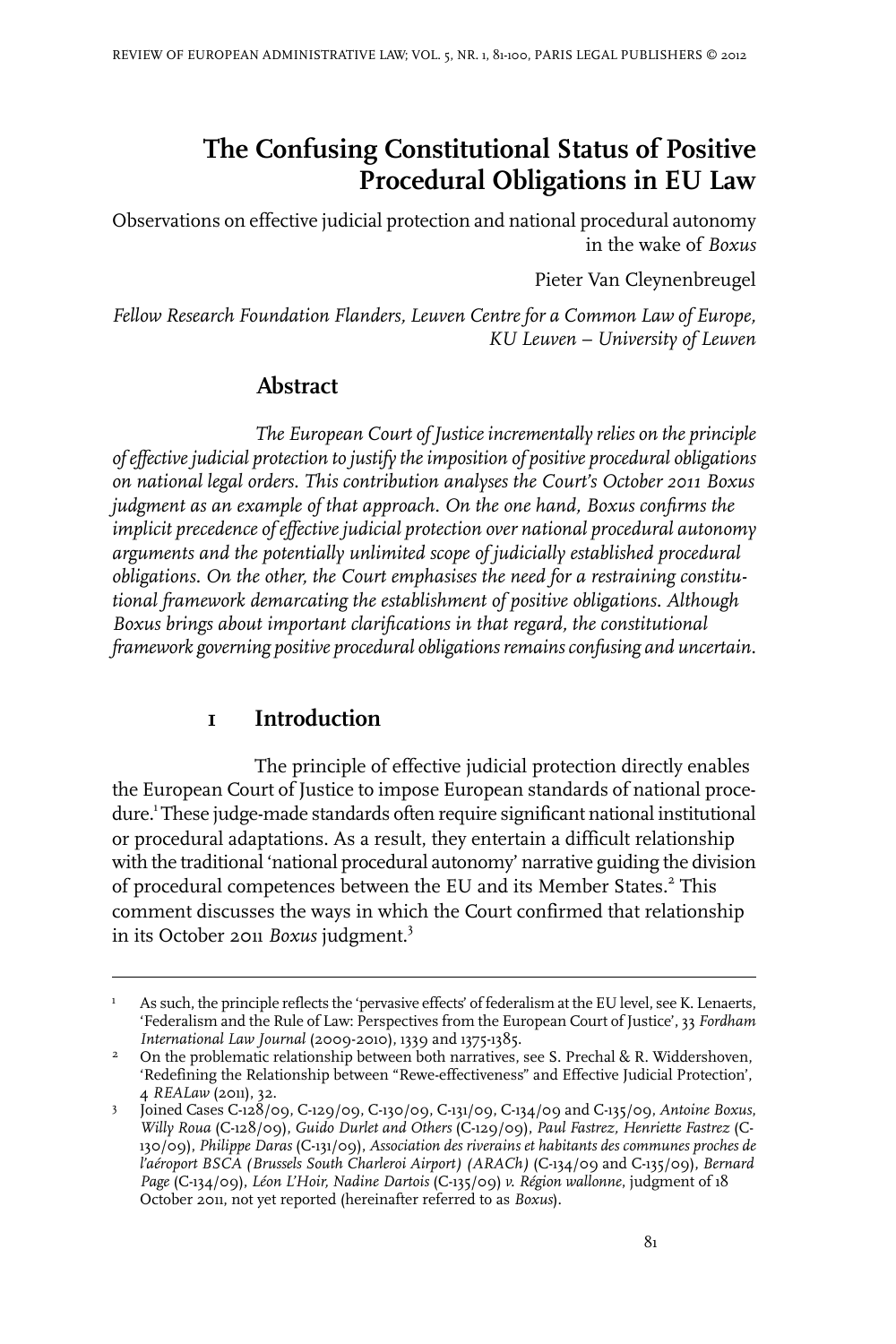# **The Confusing Constitutional Status of Positive Procedural Obligations in EU Law**

Observations on effective judicial protection and national procedural autonomy in the wake of *Boxus*

Pieter Van Cleynenbreugel

*Fellow Research Foundation Flanders, Leuven Centre for a Common Law of Europe, KU Leuven – University of Leuven*

### **Abstract**

*The European Court of Justice incrementally relies on the principle ofeffectivejudicial protection to justify theimposition of positive procedural obligations on national legal orders. This contribution analyses the Court's October 2011 Boxus judgment as an example of that approach. On the one hand, Boxus confirms the implicit precedence of effective judicial protection over national procedural autonomy arguments and the potentially unlimited scope of judicially established procedural obligations. On the other, the Court emphasises the need for a restraining constitutional framework demarcating the establishment of positive obligations. Although Boxus brings about important clarifications in that regard, the constitutional framework governing positive procedural obligations remainsconfusing and uncertain.*

### **1 Introduction**

The principle of effective judicial protection directly enables the European Court of Justice to impose European standards of national procedure.<sup>1</sup> These judge-made standards often require significant national institutional or procedural adaptations. As a result, they entertain a difficult relationship with the traditional 'national procedural autonomy' narrative guiding the division of procedural competences between the EU and its Member States.<sup>2</sup> This comment discusses the ways in which the Court confirmed that relationship in its October 2011 *Boxus* judgment.<sup>3</sup>

As such, the principle reflects the 'pervasive effects' of federalism at the EU level, see K. Lenaerts, 'Federalism and the Rule of Law: Perspectives from the European Court of Justice', 33 *Fordham International Law Journal* (2009-2010), 1339 and 1375-1385. 1

On the problematic relationship between both narratives, see S. Prechal & R. Widdershoven, 'Redefining the Relationship between "Rewe-effectiveness" and Effective Judicial Protection', 4 *REALaw* (2011), 32. 2

Joined Cases C-128/09, C-129/09, C-130/09, C-131/09, C-134/09 and C-135/09, *Antoine Boxus*, *Willy Roua* (C-128/09), *Guido Durlet and Others* (C-129/09), *Paul Fastrez, Henriette Fastrez* (C-3 130/09), *Philippe Daras* (C-131/09), *Association des riverains et habitants des communes proches de l'aéroport BSCA (Brussels South Charleroi Airport) (ARACh)* (C-134/09 and C-135/09), *Bernard Page* (C-134/09), *Léon L'Hoir, Nadine Dartois* (C-135/09) *v. Région wallonne*, judgment of 18 October 2011, not yet reported (hereinafter referred to as *Boxus*).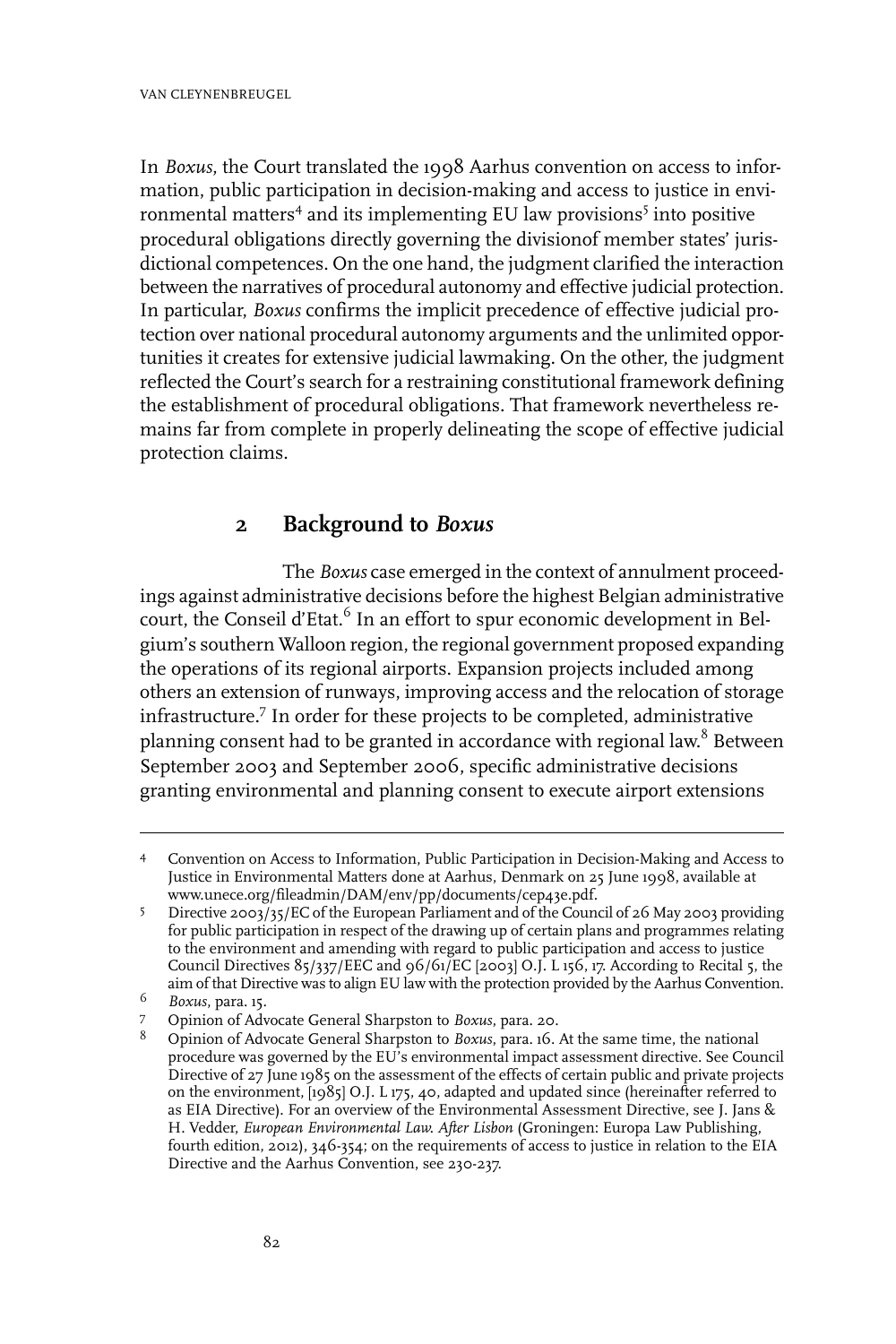In *Boxus*, the Court translated the 1998 Aarhus convention on access to information, public participation in decision-making and access to justice in environmental matters<sup>4</sup> and its implementing EU law provisions<sup>5</sup> into positive procedural obligations directly governing the divisionof member states' jurisdictional competences. On the one hand, the judgment clarified the interaction between the narratives of procedural autonomy and effective judicial protection. In particular, *Boxus* confirms the implicit precedence of effective judicial protection over national procedural autonomy arguments and the unlimited opportunities it creates for extensive judicial lawmaking. On the other, the judgment reflected the Court's search for a restraining constitutional framework defining the establishment of procedural obligations. That framework nevertheless remains far from complete in properly delineating the scope of effective judicial protection claims.

### **2 Background to** *Boxus*

The *Boxus* case emerged in the context of annulment proceedings against administrative decisions before the highest Belgian administrative court, the Conseil d'Etat.<sup>6</sup> In an effort to spur economic development in Belgium's southern Walloon region, the regional government proposed expanding the operations of its regional airports. Expansion projects included among others an extension of runways, improving access and the relocation of storage infrastructure.<sup>7</sup> In order for these projects to be completed, administrative planning consent had to be granted in accordance with regional law.<sup>8</sup> Between September 2003 and September 2006, specific administrative decisions granting environmental and planning consent to execute airport extensions

Convention on Access to Information, Public Participation in Decision-Making and Access to 4 Justice in Environmental Matters done at Aarhus, Denmark on 25 June 1998, available at www.unece.org/fileadmin/DAM/env/pp/documents/cep43e.pdf.

Directive 2003/35/EC of the European Parliament and of the Council of 26 May 2003 providing for public participation in respect of the drawing up of certain plans and programmes relating 5 to the environment and amending with regard to public participation and access to justice Council Directives  $85/337/EEC$  and  $96/61/EC$  [2003] O.J. L 156, 17. According to Recital 5, the aim of that Directive was to align EU law with the protection provided by the Aarhus Convention.

*Boxus*, para. 15. <sup>6</sup>

Opinion of Advocate General Sharpston to *Boxus*, para. 20. <sup>7</sup>

Opinion of Advocate General Sharpston to *Boxus*, para. 16. At the same time, the national procedure was governed by the EU's environmental impact assessment directive. See Council 8 Directive of 27 June 1985 on the assessment of the effects of certain public and private projects on the environment, [1985] O.J. L 175, 40, adapted and updated since (hereinafter referred to as EIA Directive). For an overview of the Environmental Assessment Directive, see J. Jans & H. Vedder, *European Environmental Law. After Lisbon* (Groningen: Europa Law Publishing, fourth edition, 2012), 346-354; on the requirements of access to justice in relation to the EIA Directive and the Aarhus Convention, see 230-237.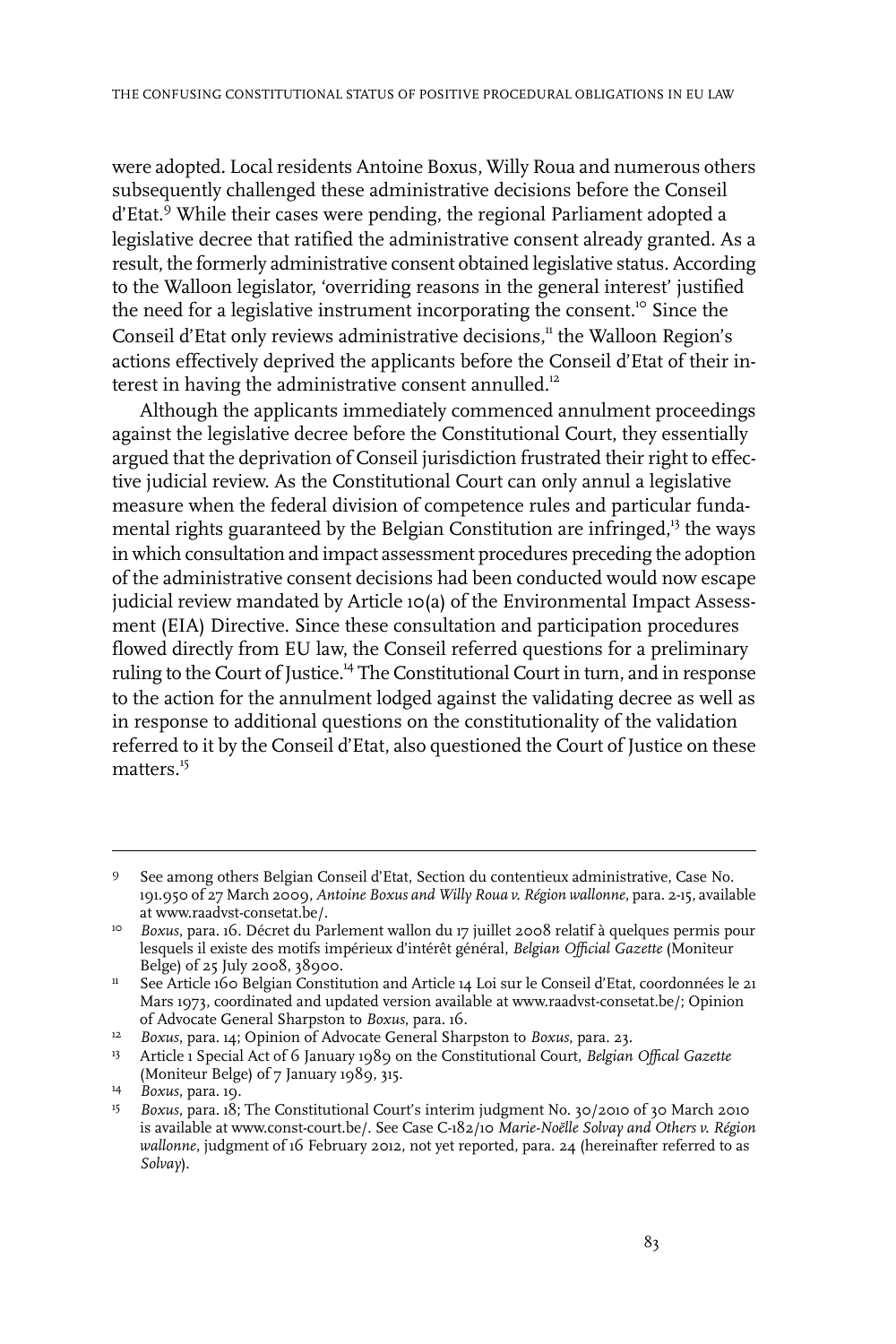were adopted. Local residents Antoine Boxus, Willy Roua and numerous others subsequently challenged these administrative decisions before the Conseil d'Etat.<sup>9</sup> While their cases were pending, the regional Parliament adopted a legislative decree that ratified the administrative consent already granted. As a result, the formerly administrative consent obtained legislative status. According to the Walloon legislator, 'overriding reasons in the general interest' justified the need for a legislative instrument incorporating the consent.<sup>10</sup> Since the Conseil d'Etat only reviews administrative decisions,<sup>11</sup> the Walloon Region's actions effectively deprived the applicants before the Conseil d'Etat of their interest in having the administrative consent annulled.<sup>12</sup>

Although the applicants immediately commenced annulment proceedings against the legislative decree before the Constitutional Court, they essentially argued that the deprivation of Conseil jurisdiction frustrated their right to effective judicial review. As the Constitutional Court can only annul a legislative measure when the federal division of competence rules and particular fundamental rights guaranteed by the Belgian Constitution are infringed,<sup>13</sup> the ways in which consultation and impact assessment procedures preceding the adoption of the administrative consent decisions had been conducted would now escape judicial review mandated by Article 10(a) of the Environmental Impact Assessment (EIA) Directive. Since these consultation and participation procedures flowed directly from EU law, the Conseil referred questions for a preliminary ruling to the Court of Justice.<sup>14</sup> The Constitutional Court in turn, and in response to the action for the annulment lodged against the validating decree as well as in response to additional questions on the constitutionality of the validation referred to it by the Conseil d'Etat, also questioned the Court of Justice on these matters.<sup>15</sup>

See among others Belgian Conseil d'Etat, Section du contentieux administrative, Case No. 191.950 of 27 March 2009, *Antoine Boxus and Willy Roua v. Région wallonne*, para. 2-15, available at www.raadvst-consetat.be/.  $\mathbf{Q}$ 

<sup>&</sup>lt;sup>10</sup> Boxus, para. 16. Décret du Parlement wallon du 17 juillet 2008 relatif à quelques permis pour lesquels il existe des motifs impérieux d'intérêt général, *Belgian Official Gazette* (Moniteur Belge) of 25 July 2008, 38900.

<sup>&</sup>lt;sup>11</sup> See Article 160 Belgian Constitution and Article 14 Loi sur le Conseil d'Etat, coordonnées le 21 Mars 1973, coordinated and updated version available at www.raadvst-consetat.be/; Opinion of Advocate General Sharpston to *Boxus*, para. 16.

<sup>&</sup>lt;sup>12</sup> Boxus, para. 14; Opinion of Advocate General Sharpston to Boxus, para. 23.

Article 1 Special Act of 6 January 1989 on the Constitutional Court, *Belgian Offical Gazette* 13 (Moniteur Belge) of 7 January 1989, 315.

<sup>&</sup>lt;sup>14</sup> Boxus, para. 19.

<sup>&</sup>lt;sup>15</sup> Boxus, para. 18; The Constitutional Court's interim judgment No. 30/2010 of 30 March 2010 is available at www.const-court.be/. See Case C-182/10 *Marie-Noëlle Solvay and Others v. Région wallonne*, judgment of 16 February 2012, not yet reported, para. 24 (hereinafter referred to as *Solvay*).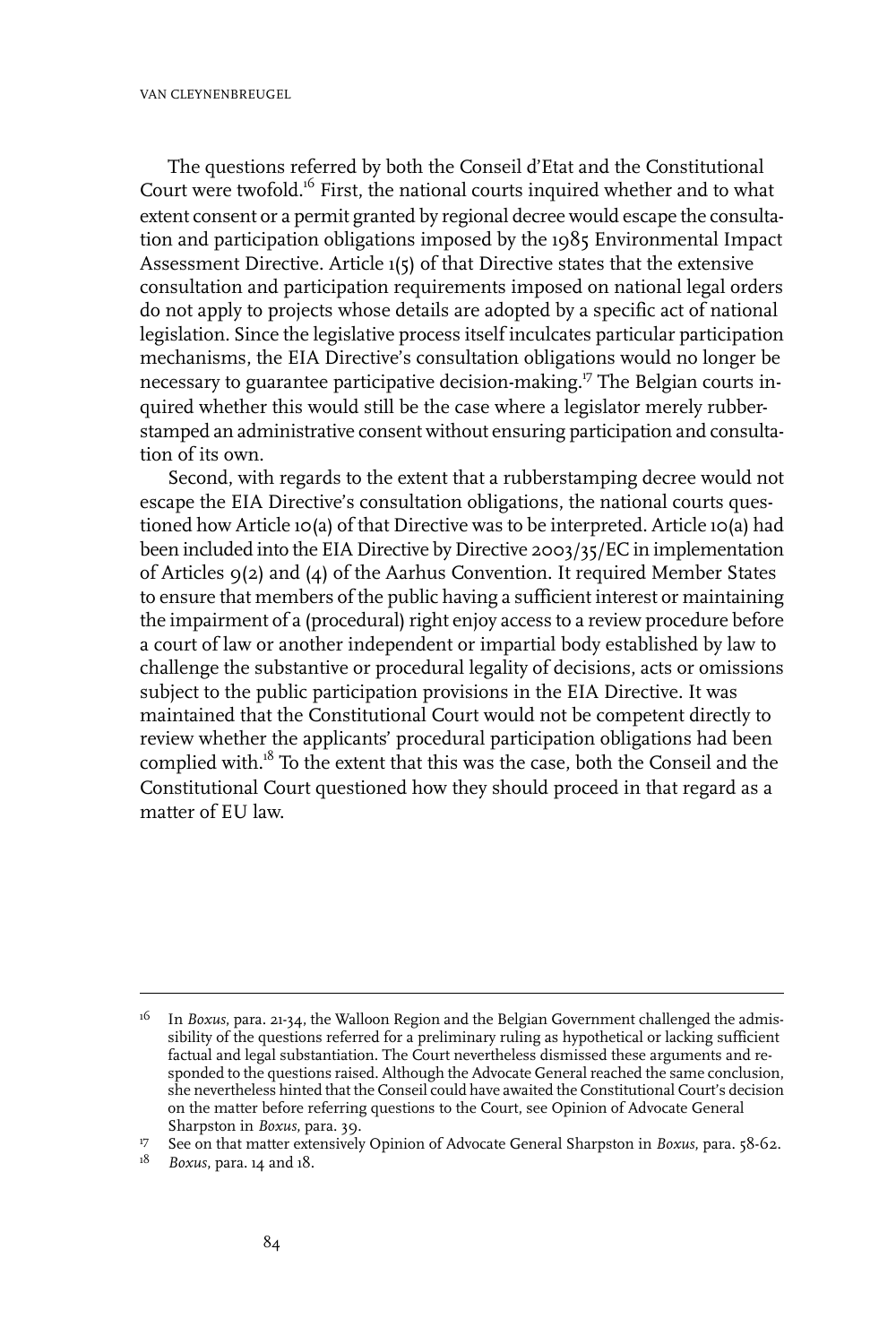The questions referred by both the Conseil d'Etat and the Constitutional Court were twofold.<sup>16</sup> First, the national courts inquired whether and to what extent consent or a permit granted by regional decree would escape the consultation and participation obligations imposed by the 1985 Environmental Impact Assessment Directive. Article 1(5) of that Directive states that the extensive consultation and participation requirements imposed on national legal orders do not apply to projects whose details are adopted by a specific act of national legislation. Since the legislative process itself inculcates particular participation mechanisms, the EIA Directive's consultation obligations would no longer be necessary to guarantee participative decision-making.<sup>17</sup> The Belgian courts inquired whether this would still be the case where a legislator merely rubberstamped an administrative consent without ensuring participation and consultation of its own.

Second, with regards to the extent that a rubberstamping decree would not escape the EIA Directive's consultation obligations, the national courts questioned how Article 10(a) of that Directive was to be interpreted. Article 10(a) had been included into the EIA Directive by Directive 2003/35/EC in implementation of Articles 9(2) and (4) of the Aarhus Convention. It required Member States to ensure that members of the public having a sufficient interest or maintaining the impairment of a (procedural) right enjoy access to a review procedure before a court of law or another independent or impartial body established by law to challenge the substantive or procedural legality of decisions, acts or omissions subject to the public participation provisions in the EIA Directive. It was maintained that the Constitutional Court would not be competent directly to review whether the applicants' procedural participation obligations had been complied with.<sup>18</sup> To the extent that this was the case, both the Conseil and the Constitutional Court questioned how they should proceed in that regard as a matter of EU law.

<sup>&</sup>lt;sup>16</sup> In *Boxus*, para. 21-34, the Walloon Region and the Belgian Government challenged the admissibility of the questions referred for a preliminary ruling as hypothetical or lacking sufficient factual and legal substantiation. The Court nevertheless dismissed these arguments and responded to the questions raised. Although the Advocate General reached the same conclusion, she nevertheless hinted that the Conseil could have awaited the Constitutional Court's decision on the matter before referring questions to the Court, see Opinion of Advocate General Sharpston in *Boxus*, para. 39.

See on that matter extensively Opinion of Advocate General Sharpston in *Boxus*, para. 58-62. <sup>17</sup>

<sup>&</sup>lt;sup>18</sup> *Boxus*, para. 14 and 18.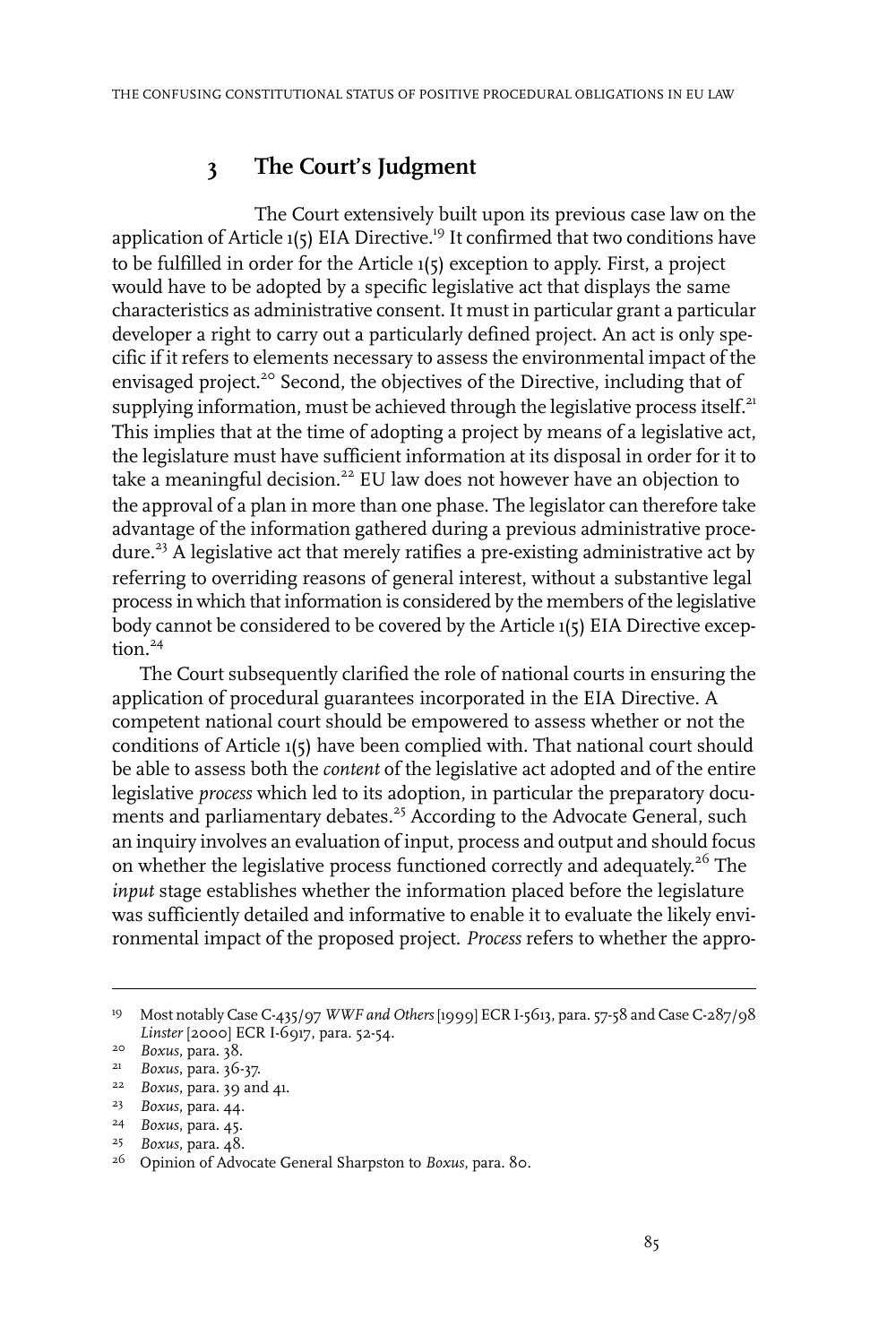## **3 The Court's Judgment**

The Court extensively built upon its previous case law on the application of Article  $1(5)$  EIA Directive.<sup>19</sup> It confirmed that two conditions have to be fulfilled in order for the Article 1(5) exception to apply. First, a project would have to be adopted by a specific legislative act that displays the same characteristics as administrative consent. It must in particular grant a particular developer a right to carry out a particularly defined project. An act is only specific if it refers to elements necessary to assess the environmental impact of the envisaged project.<sup>20</sup> Second, the objectives of the Directive, including that of supplying information, must be achieved through the legislative process itself. $^{21}$ This implies that at the time of adopting a project by means of a legislative act, the legislature must have sufficient information at its disposal in order for it to take a meaningful decision.<sup>22</sup> EU law does not however have an objection to the approval of a plan in more than one phase. The legislator can therefore take advantage of the information gathered during a previous administrative procedure.<sup>23</sup> A legislative act that merely ratifies a pre-existing administrative act by referring to overriding reasons of general interest, without a substantive legal process in which that information is considered by the members of the legislative body cannot be considered to be covered by the Article 1(5) EIA Directive exception.<sup>24</sup>

The Court subsequently clarified the role of national courts in ensuring the application of procedural guarantees incorporated in the EIA Directive. A competent national court should be empowered to assess whether or not the conditions of Article 1(5) have been complied with. That national court should be able to assess both the *content* of the legislative act adopted and of the entire legislative *process* which led to its adoption, in particular the preparatory documents and parliamentary debates.<sup>25</sup> According to the Advocate General, such an inquiry involves an evaluation of input, process and output and should focus on whether the legislative process functioned correctly and adequately.<sup>26</sup> The *input* stage establishes whether the information placed before the legislature was sufficiently detailed and informative to enable it to evaluate the likely environmental impact of the proposed project. *Process* refers to whether the appro-

Most notably Case C-435/97 *WWF and Others* [1999] ECR I-5613, para. 57-58 and Case C-287/98 19 *Linster* [2000] ECR I-6917, para. 52-54.

<sup>&</sup>lt;sup>20</sup> *Boxus*, para. 38.

*Boxus*, para. 36-37. 21

<sup>&</sup>lt;sup>22</sup> *Boxus*, para. 39 and 41.

<sup>&</sup>lt;sup>23</sup> *Boxus*, para. 44.

*Boxus*, para. 45. <sup>24</sup>

*Boxus*, para. 48. <sup>25</sup>

<sup>&</sup>lt;sup>26</sup> Opinion of Advocate General Sharpston to *Boxus*, para. 80.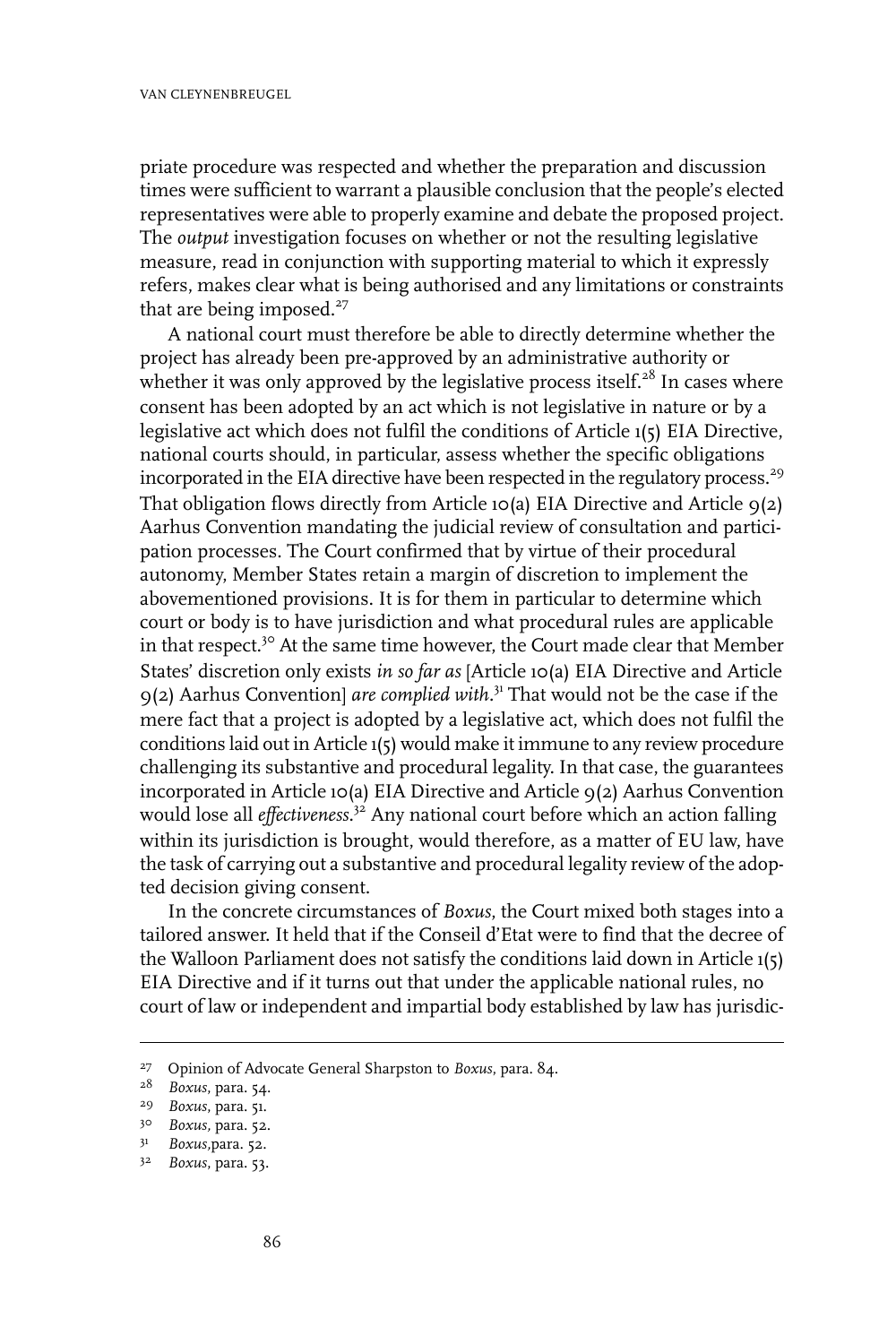priate procedure was respected and whether the preparation and discussion times were sufficient to warrant a plausible conclusion that the people's elected representatives were able to properly examine and debate the proposed project. The *output* investigation focuses on whether or not the resulting legislative measure, read in conjunction with supporting material to which it expressly refers, makes clear what is being authorised and any limitations or constraints that are being imposed.<sup>27</sup>

A national court must therefore be able to directly determine whether the project has already been pre-approved by an administrative authority or whether it was only approved by the legislative process itself.<sup>28</sup> In cases where consent has been adopted by an act which is not legislative in nature or by a legislative act which does not fulfil the conditions of Article 1(5) EIA Directive, national courts should, in particular, assess whether the specific obligations incorporated in the EIA directive have been respected in the regulatory process.<sup>29</sup> That obligation flows directly from Article 10(a) EIA Directive and Article  $9(2)$ Aarhus Convention mandating the judicial review of consultation and participation processes. The Court confirmed that by virtue of their procedural autonomy, Member States retain a margin of discretion to implement the abovementioned provisions. It is for them in particular to determine which court or body is to have jurisdiction and what procedural rules are applicable in that respect.<sup>30</sup> At the same time however, the Court made clear that Member States' discretion only exists *in so far as* [Article 10(a) EIA Directive and Article 9(2) Aarhus Convention] *are complied with.*<sup>31</sup> That would not be the case if the mere fact that a project is adopted by a legislative act, which does not fulfil the conditions laid out in Article 1(5) would make it immune to any review procedure challenging its substantive and procedural legality. In that case, the guarantees incorporated in Article 10(a) EIA Directive and Article 9(2) Aarhus Convention would lose all *effectiveness.*<sup>32</sup> Any national court before which an action falling within its jurisdiction is brought, would therefore, as a matter of EU law, have the task of carrying out a substantive and procedural legality review of the adopted decision giving consent.

In the concrete circumstances of *Boxus*, the Court mixed both stages into a tailored answer. It held that if the Conseil d'Etat were to find that the decree of the Walloon Parliament does not satisfy the conditions laid down in Article 1(5) EIA Directive and if it turns out that under the applicable national rules, no court of law or independent and impartial body established by law has jurisdic-

Opinion of Advocate General Sharpston to *Boxus*, para. 84. <sup>27</sup>

<sup>&</sup>lt;sup>28</sup> *Boxus*, para. 54.

<sup>&</sup>lt;sup>29</sup> *Boxus*, para. 51.

<sup>&</sup>lt;sup>30</sup> *Boxus*, para. 52.

<sup>31</sup> **Boxus**, para. 52.

<sup>3&</sup>lt;sup>2</sup> Boxus, para. 53.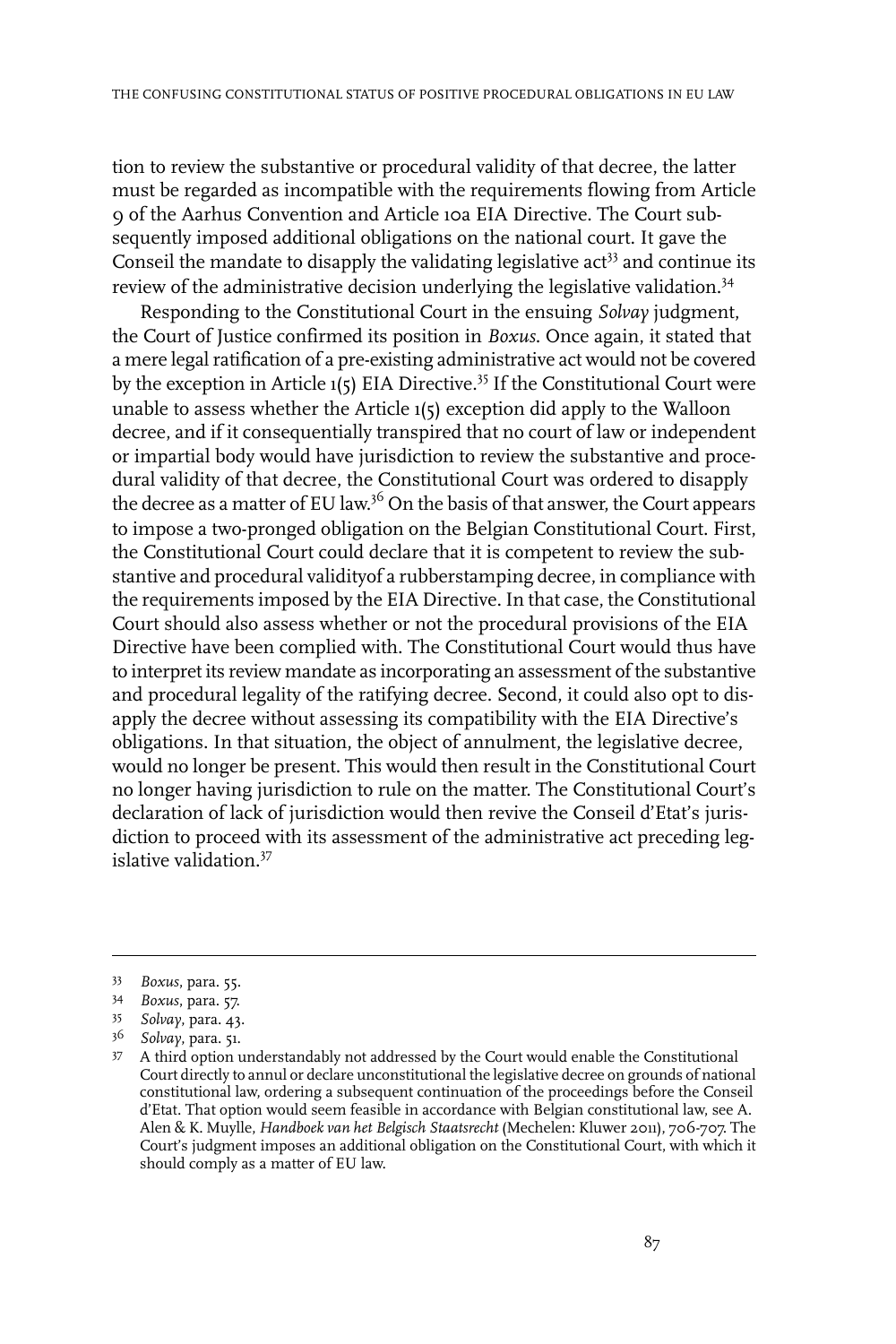tion to review the substantive or procedural validity of that decree, the latter must be regarded as incompatible with the requirements flowing from Article 9 of the Aarhus Convention and Article 10a EIA Directive. The Court subsequently imposed additional obligations on the national court. It gave the Conseil the mandate to disapply the validating legislative  $act<sup>33</sup>$  and continue its review of the administrative decision underlying the legislative validation.<sup>34</sup>

Responding to the Constitutional Court in the ensuing *Solvay* judgment, the Court of Justice confirmed its position in *Boxus*. Once again, it stated that a mere legal ratification of a pre-existing administrative act would not be covered by the exception in Article 1(5) EIA Directive.<sup>35</sup> If the Constitutional Court were unable to assess whether the Article 1(5) exception did apply to the Walloon decree, and if it consequentially transpired that no court of law or independent or impartial body would have jurisdiction to review the substantive and procedural validity of that decree, the Constitutional Court was ordered to disapply the decree as a matter of EU law.<sup>36</sup> On the basis of that answer, the Court appears to impose a two-pronged obligation on the Belgian Constitutional Court. First, the Constitutional Court could declare that it is competent to review the substantive and procedural validityof a rubberstamping decree, in compliance with the requirements imposed by the EIA Directive. In that case, the Constitutional Court should also assess whether or not the procedural provisions of the EIA Directive have been complied with. The Constitutional Court would thus have to interpret its review mandate as incorporating an assessment of the substantive and procedural legality of the ratifying decree. Second, it could also opt to disapply the decree without assessing its compatibility with the EIA Directive's obligations. In that situation, the object of annulment, the legislative decree, would no longer be present. This would then result in the Constitutional Court no longer having jurisdiction to rule on the matter. The Constitutional Court's declaration of lack of jurisdiction would then revive the Conseil d'Etat's jurisdiction to proceed with its assessment of the administrative act preceding legislative validation.<sup>37</sup>

*Boxus*, para. 55. <sup>33</sup>

*Boxus*, para. 57. 34

<sup>35</sup> *Solvay*, para. 43.

*Solvay*, para. 51. <sup>36</sup>

A third option understandably not addressed by the Court would enable the Constitutional 37 Court directly to annul or declare unconstitutional the legislative decree on grounds of national constitutional law, ordering a subsequent continuation of the proceedings before the Conseil d'Etat. That option would seem feasible in accordance with Belgian constitutional law, see A. Alen & K. Muylle, *Handboek van het Belgisch Staatsrecht* (Mechelen: Kluwer 2011), 706-707. The Court's judgment imposes an additional obligation on the Constitutional Court, with which it should comply as a matter of EU law.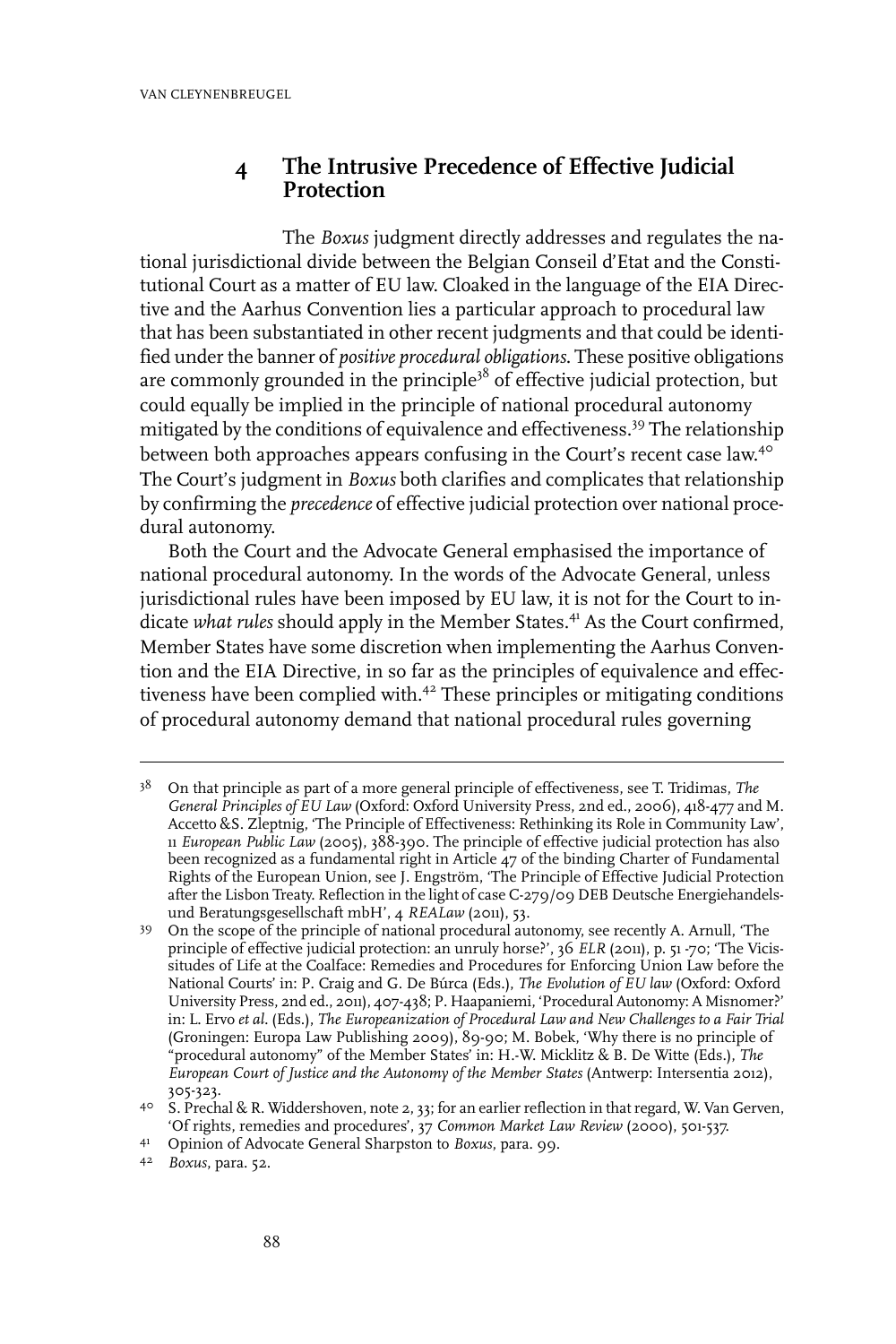#### **4 The Intrusive Precedence of Effective Judicial Protection**

The *Boxus* judgment directly addresses and regulates the national jurisdictional divide between the Belgian Conseil d'Etat and the Constitutional Court as a matter of EU law. Cloaked in the language of the EIA Directive and the Aarhus Convention lies a particular approach to procedural law that has been substantiated in other recent judgments and that could be identified under the banner of *positive procedural obligations*. These positive obligations are commonly grounded in the principle<sup>38</sup> of effective judicial protection, but could equally be implied in the principle of national procedural autonomy mitigated by the conditions of equivalence and effectiveness.<sup>39</sup> The relationship between both approaches appears confusing in the Court's recent case law.<sup>40</sup> The Court's judgment in *Boxus* both clarifies and complicates that relationship by confirming the *precedence* of effective judicial protection over national procedural autonomy.

Both the Court and the Advocate General emphasised the importance of national procedural autonomy. In the words of the Advocate General, unless jurisdictional rules have been imposed by EU law, it is not for the Court to indicate *what rules* should apply in the Member States.<sup>41</sup> As the Court confirmed, Member States have some discretion when implementing the Aarhus Convention and the EIA Directive, in so far as the principles of equivalence and effectiveness have been complied with.<sup>42</sup> These principles or mitigating conditions of procedural autonomy demand that national procedural rules governing

On that principle as part of a more general principle of effectiveness, see T. Tridimas, *The* 38 *General Principles of EU Law* (Oxford: Oxford University Press, 2nd ed., 2006), 418-477 and M. Accetto &S. Zleptnig, 'The Principle of Effectiveness: Rethinking its Role in Community Law', 11 *European Public Law* (2005), 388-390. The principle of effective judicial protection has also been recognized as a fundamental right in Article  $47$  of the binding Charter of Fundamental Rights of the European Union, see J. Engström, 'The Principle of Effective Judicial Protection after the Lisbon Treaty. Reflection in the light of case C-279/09 DEB Deutsche Energiehandelsund Beratungsgesellschaft mbH', 4 *REALaw* (2011), 53.

On the scope of the principle of national procedural autonomy, see recently A. Arnull, 'The 39 principle of effective judicial protection: an unruly horse?', 36 *ELR* (2011), p. 51 -70; 'The Vicissitudes of Life at the Coalface: Remedies and Procedures for Enforcing Union Law before the National Courts' in: P. Craig and G. De Búrca (Eds.), *The Evolution of EU law* (Oxford: Oxford University Press, 2nd ed., 2011), 407-438; P. Haapaniemi, 'Procedural Autonomy: A Misnomer?' in: L. Ervo *et al.* (Eds.), *The Europeanization of Procedural Law and New Challenges to a Fair Trial* (Groningen: Europa Law Publishing 2009), 89-90; M. Bobek, 'Why there is no principle of "procedural autonomy" of the Member States' in: H.-W. Micklitz & B. De Witte (Eds.), *The European Court of Justice and the Autonomy of the Member States* (Antwerp:Intersentia 2012), 305-323.

<sup>4</sup>º S. Prechal & R. Widdershoven, note 2, 33; for an earlier reflection in that regard, W. Van Gerven, 'Of rights, remedies and procedures', 37 *Common Market Law Review* (2000), 501-537.

Opinion of Advocate General Sharpston to *Boxus*, para. 99. <sup>41</sup>

*Boxus*, para. 52. <sup>42</sup>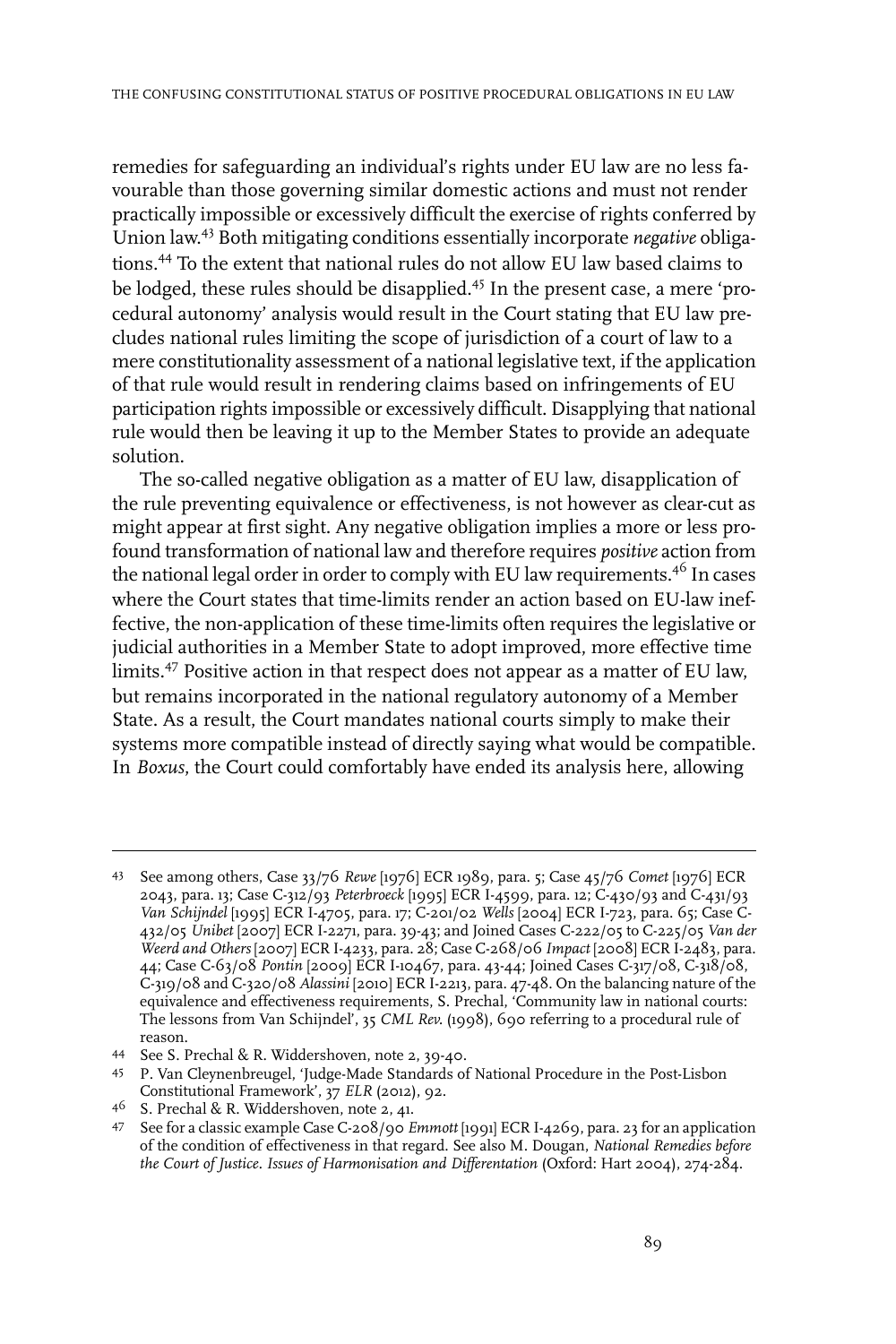remedies for safeguarding an individual's rights under EU law are no less favourable than those governing similar domestic actions and must not render practically impossible or excessively difficult the exercise of rights conferred by Union law. <sup>43</sup> Both mitigating conditions essentially incorporate *negative* obligations.<sup>44</sup> To the extent that national rules do not allow EU law based claims to be lodged, these rules should be disapplied.<sup>45</sup> In the present case, a mere 'procedural autonomy' analysis would result in the Court stating that EU law precludes national rules limiting the scope of jurisdiction of a court of law to a mere constitutionality assessment of a national legislative text, if the application of that rule would result in rendering claims based on infringements of EU participation rights impossible or excessively difficult. Disapplying that national rule would then be leaving it up to the Member States to provide an adequate solution.

The so-called negative obligation as a matter of EU law, disapplication of the rule preventing equivalence or effectiveness, is not however as clear-cut as might appear at first sight. Any negative obligation implies a more or less profound transformation of national law and therefore requires *positive* action from the national legal order in order to comply with EU law requirements.<sup>46</sup> In cases where the Court states that time-limits render an action based on EU-law ineffective, the non-application of these time-limits often requires the legislative or judicial authorities in a Member State to adopt improved, more effective time limits.<sup>47</sup> Positive action in that respect does not appear as a matter of EU law, but remains incorporated in the national regulatory autonomy of a Member State. As a result, the Court mandates national courts simply to make their systems more compatible instead of directly saying what would be compatible. In *Boxus*, the Court could comfortably have ended its analysis here, allowing

See among others, Case 33/76 *Rewe* [1976] ECR 1989, para. 5; Case 45/76 *Comet* [1976] ECR 43 2043, para. 13; Case C-312/93 *Peterbroeck* [1995] ECR I-4599, para. 12; C-430/93 and C-431/93 *Van Schijndel* [1995] ECR I-4705, para. 17; C-201/02 *Wells* [2004] ECR I-723, para. 65; Case C-432/05 *Unibet* [2007] ECR I-2271, para. 39-43; and Joined Cases C-222/05 to C-225/05 *Van der Weerd and Others* [2007] ECR I-4233, para. 28; Case C-268/06 *Impact* [2008] ECR I-2483, para. 44; Case C-63/08 *Pontin* [2009] ECR I-10467, para. 43-44; Joined Cases C-317/08, C-318/08, C-319/08 and C-320/08 *Alassini* [2010] ECR I-2213, para. 47-48. On the balancing nature of the equivalence and effectiveness requirements, S. Prechal, 'Community law in national courts: The lessons from Van Schijndel', 35 *CML Rev.* (1998), 690 referring to a procedural rule of reason.

See S. Prechal & R. Widdershoven, note 2, 39-40. <sup>44</sup>

P. Van Cleynenbreugel, 'Judge-Made Standards of National Procedure in the Post-Lisbon 45 Constitutional Framework', 37 *ELR* (2012), 92.

<sup>46</sup> S. Prechal & R. Widdershoven, note 2, 41.

See for a classic example Case C-208/90 *Emmott* [1991] ECR I-4269, para. 23 for an application 47 of the condition of effectiveness in that regard. See also M. Dougan, *National Remedies before the Court of Justice. Issues of Harmonisation and Differentation* (Oxford: Hart 2004), 274-284.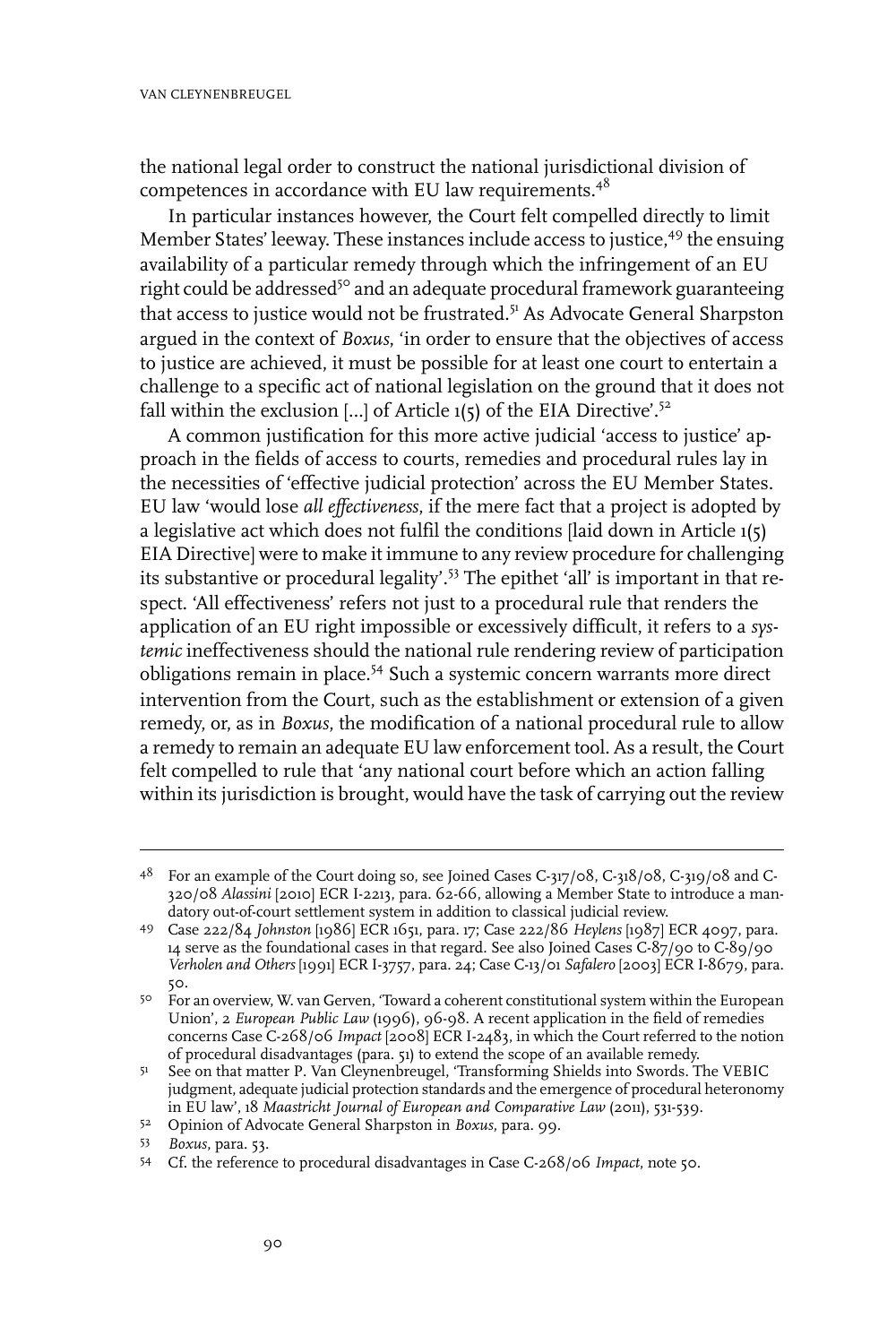the national legal order to construct the national jurisdictional division of competences in accordance with EU law requirements.<sup>48</sup>

In particular instances however, the Court felt compelled directly to limit Member States' leeway. These instances include access to justice,<sup>49</sup> the ensuing availability of a particular remedy through which the infringement of an EU right could be addressed<sup>50</sup> and an adequate procedural framework guaranteeing that access to justice would not be frustrated.<sup>51</sup> As Advocate General Sharpston argued in the context of *Boxus*, 'in order to ensure that the objectives of access to justice are achieved, it must be possible for at least one court to entertain a challenge to a specific act of national legislation on the ground that it does not fall within the exclusion  $[...]$  of Article 1(5) of the EIA Directive'.<sup>52</sup>

A common justification for this more active judicial 'access to justice' approach in the fields of access to courts, remedies and procedural rules lay in the necessities of 'effective judicial protection' across the EU Member States. EU law 'would lose *all effectiveness*, if the mere fact that a project is adopted by a legislative act which does not fulfil the conditions [laid down in Article 1(5) EIA Directive] were to make it immune to any review procedure for challenging its substantive or procedural legality'.<sup>53</sup> The epithet 'all' is important in that respect. 'All effectiveness' refers not just to a procedural rule that renders the application of an EU right impossible or excessively difficult, it refers to a *systemic* ineffectiveness should the national rule rendering review of participation obligations remain in place.<sup>54</sup> Such a systemic concern warrants more direct intervention from the Court, such as the establishment or extension of a given remedy, or, as in *Boxus*, the modification of a national procedural rule to allow a remedy to remain an adequate EU law enforcement tool. As a result, the Court felt compelled to rule that 'any national court before which an action falling within its jurisdiction is brought, would have the task of carrying out the review

<sup>&</sup>lt;sup>48</sup> For an example of the Court doing so, see Joined Cases C-317/08, C-318/08, C-319/08 and C-320/08 *Alassini* [2010] ECR I-2213, para. 62-66, allowing a Member State to introduce a mandatory out-of-court settlement system in addition to classical judicial review.

Case 222/84 *Johnston* [1986] ECR 1651, para. 17; Case 222/86 *Heylens* [1987] ECR 4097, para. 49 14 serve as the foundational cases in that regard. See also Joined Cases C-87/90 to  $\overline{C}$ -89/90 *Verholen and Others* [1991] ECR I-3757, para. 24; Case C-13/01 *Safalero* [2003] ECR I-8679, para. 50.

<sup>&</sup>lt;sup>50</sup> For an overview, W. van Gerven, 'Toward a coherent constitutional system within the European Union', 2 *European Public Law* (1996), 96-98. A recent application in the field of remedies concerns Case C-268/06 *Impact* [2008] ECR I-2483, in which the Court referred to the notion of procedural disadvantages (para. 51) to extend the scope of an available remedy.

<sup>51</sup> See on that matter P. Van Cleynenbreugel, 'Transforming Shields into Swords. The VEBIC judgment, adequate judicial protection standards and the emergence of procedural heteronomy in EU law', 18 *Maastricht Journal of European and Comparative Law* (2011), 531-539.

<sup>&</sup>lt;sup>52</sup> Opinion of Advocate General Sharpston in *Boxus*, para. 99.

*Boxus*, para. 53. <sup>53</sup>

Cf. the reference to procedural disadvantages in Case C-268/06 *Impact*, note 50. <sup>54</sup>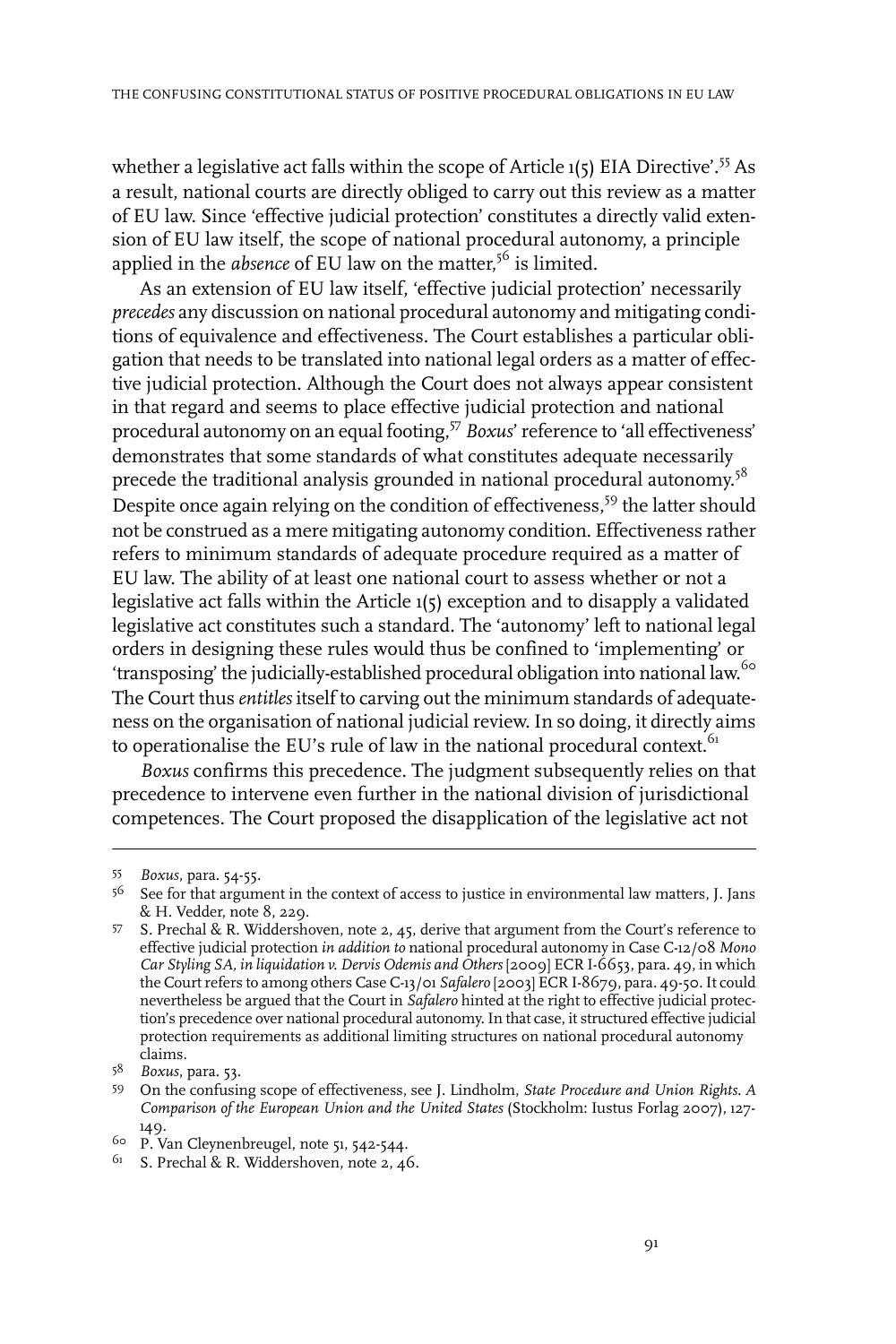whether a legislative act falls within the scope of Article 1(5) EIA Directive'.<sup>55</sup> As a result, national courts are directly obliged to carry out this review as a matter of EU law. Since 'effective judicial protection' constitutes a directly valid extension of EU law itself, the scope of national procedural autonomy, a principle applied in the *absence* of EU law on the matter, <sup>56</sup> is limited.

As an extension of EU law itself, 'effective judicial protection' necessarily *precedes* any discussion on national procedural autonomy and mitigating conditions of equivalence and effectiveness. The Court establishes a particular obligation that needs to be translated into national legal orders as a matter of effective judicial protection. Although the Court does not always appear consistent in that regard and seems to place effective judicial protection and national procedural autonomy on an equal footing,<sup>57</sup> *Boxus*'reference to 'all effectiveness' demonstrates that some standards of what constitutes adequate necessarily precede the traditional analysis grounded in national procedural autonomy.<sup>58</sup> Despite once again relying on the condition of effectiveness,<sup>59</sup> the latter should not be construed as a mere mitigating autonomy condition. Effectiveness rather refers to minimum standards of adequate procedure required as a matter of EU law. The ability of at least one national court to assess whether or not a legislative act falls within the Article 1(5) exception and to disapply a validated legislative act constitutes such a standard. The 'autonomy' left to national legal orders in designing these rules would thus be confined to 'implementing' or 'transposing' the judicially-established procedural obligation into national law.<sup>60</sup> The Court thus *entitles* itself to carving out the minimum standards of adequateness on the organisation of national judicial review. In so doing, it directly aims to operationalise the EU's rule of law in the national procedural context. $61$ 

*Boxus* confirms this precedence. The judgment subsequently relies on that precedence to intervene even further in the national division of jurisdictional competences. The Court proposed the disapplication of the legislative act not

*Boxus*, para. 54-55.

 $56$  See for that argument in the context of access to justice in environmental law matters, J. Jans & H. Vedder, note 8, 229.

<sup>57</sup> S. Prechal & R. Widdershoven, note 2, 45, derive that argument from the Court's reference to effective judicial protection *in addition to* national procedural autonomy in Case C-12/08 *Mono Car Styling SA, in liquidation v. Dervis Odemis and Others* [2009] ECR I-6653, para. 49, in which the Court refers to among others Case C-13/01 *Safalero* [2003] ECR I-8679, para. 49-50. It could nevertheless be argued that the Court in *Safalero* hinted at the right to effective judicial protection's precedence over national procedural autonomy.In that case, it structured effective judicial protection requirements as additional limiting structures on national procedural autonomy claims.

*Boxus*, para. 53. <sup>58</sup>

On the confusing scope of effectiveness, see J. Lindholm, *State Procedure and Union Rights. A* 59 *Comparison of the European Union and the United States* (Stockholm:Iustus Forlag 2007), 127- 149.

<sup>&</sup>lt;sup>60</sup> P. Van Cleynenbreugel, note 51, 542-544.

<sup>&</sup>lt;sup>61</sup> S. Prechal & R. Widdershoven, note 2, 46.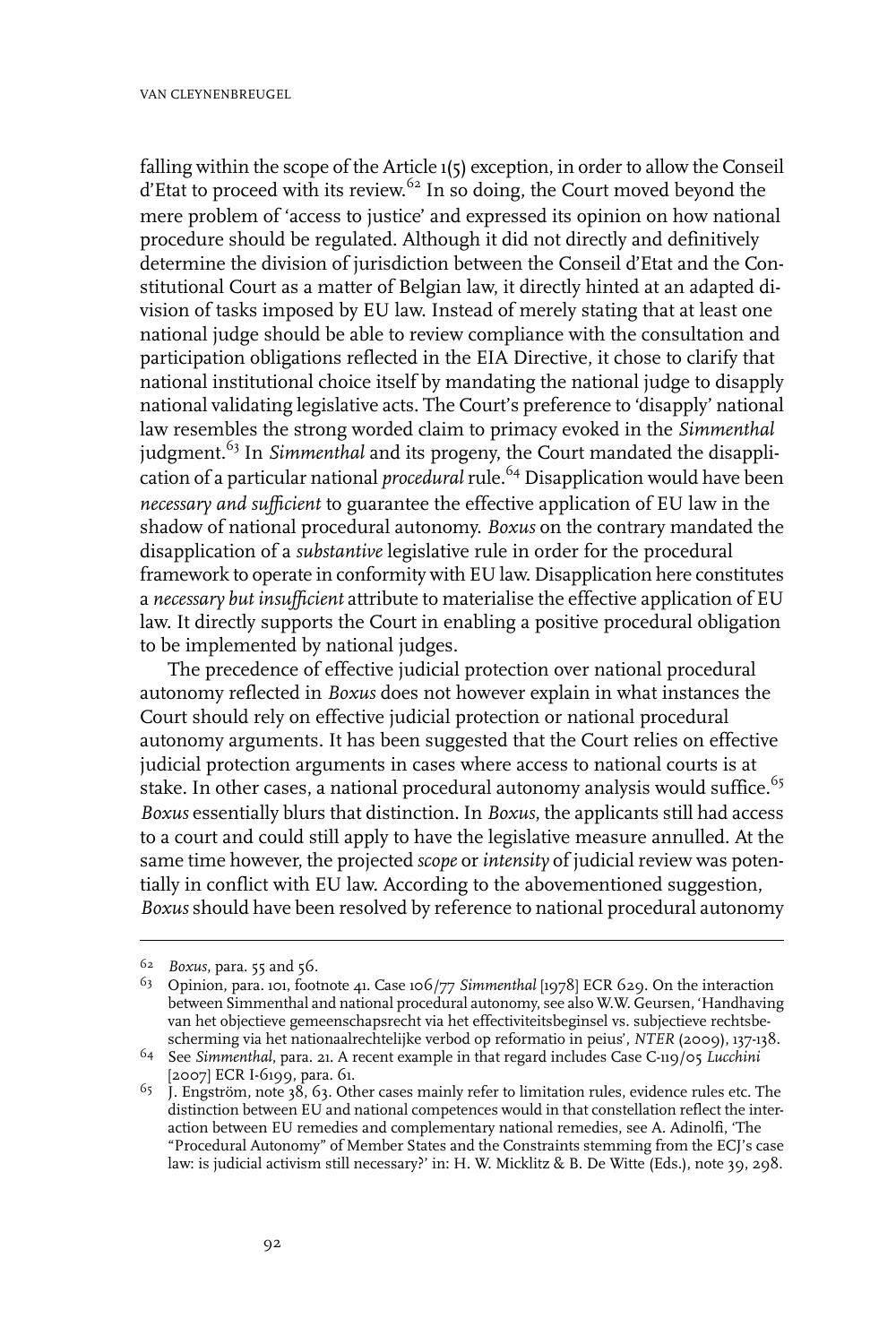falling within the scope of the Article 1(5) exception, in order to allow the Conseil d'Etat to proceed with its review.<sup>62</sup> In so doing, the Court moved beyond the mere problem of 'access to justice' and expressed its opinion on how national procedure should be regulated. Although it did not directly and definitively determine the division of jurisdiction between the Conseil d'Etat and the Constitutional Court as a matter of Belgian law, it directly hinted at an adapted division of tasks imposed by EU law. Instead of merely stating that at least one national judge should be able to review compliance with the consultation and participation obligations reflected in the EIA Directive, it chose to clarify that national institutional choice itself by mandating the national judge to disapply national validating legislative acts. The Court's preference to 'disapply' national law resembles the strong worded claim to primacy evoked in the *Simmenthal* judgment.<sup>63</sup> In *Simmenthal* and its progeny, the Court mandated the disapplication of a particular national *procedural* rule.<sup>64</sup> Disapplication would have been *necessary and sufficient* to guarantee the effective application of EU law in the shadow of national procedural autonomy. *Boxus* on the contrary mandated the disapplication of a *substantive* legislative rule in order for the procedural framework to operate in conformity with EU law. Disapplication here constitutes a *necessary but insufficient* attribute to materialise the effective application of EU law. It directly supports the Court in enabling a positive procedural obligation to be implemented by national judges.

The precedence of effective judicial protection over national procedural autonomy reflected in *Boxus* does not however explain in what instances the Court should rely on effective judicial protection or national procedural autonomy arguments. It has been suggested that the Court relies on effective judicial protection arguments in cases where access to national courts is at stake. In other cases, a national procedural autonomy analysis would suffice.<sup>65</sup> *Boxus* essentially blurs that distinction. In *Boxus*, the applicants still had access to a court and could still apply to have the legislative measure annulled. At the same time however, the projected *scope* or *intensity* of judicial review was potentially in conflict with EU law. According to the abovementioned suggestion, *Boxus* should have been resolved by reference to national procedural autonomy

<sup>&</sup>lt;sup>62</sup> *Boxus*, para. 55 and 56.

<sup>&</sup>lt;sup>63</sup> Opinion, para. 101, footnote 41. Case 106/77 Simmenthal [1978] ECR 629. On the interaction between Simmenthal and national procedural autonomy, see also W.W. Geursen, 'Handhaving van het objectieve gemeenschapsrecht via het effectiviteitsbeginsel vs. subjectieve rechtsbescherming via het nationaalrechtelijke verbod op reformatio in peius', *NTER* (2009), 137-138.

<sup>&</sup>lt;sup>64</sup> See Simmenthal, para. 21. A recent example in that regard includes Case C-119/05 Lucchini [2007] ECR I-6199, para. 61.

 $65$  J. Engström, note 38, 63. Other cases mainly refer to limitation rules, evidence rules etc. The distinction between EU and national competences would in that constellation reflect the interaction between EU remedies and complementary national remedies, see A. Adinolfi, 'The "Procedural Autonomy" of Member States and the Constraints stemming from the ECJ's case law: is judicial activism still necessary?' in: H. W. Micklitz & B. De Witte (Eds.), note 39, 298.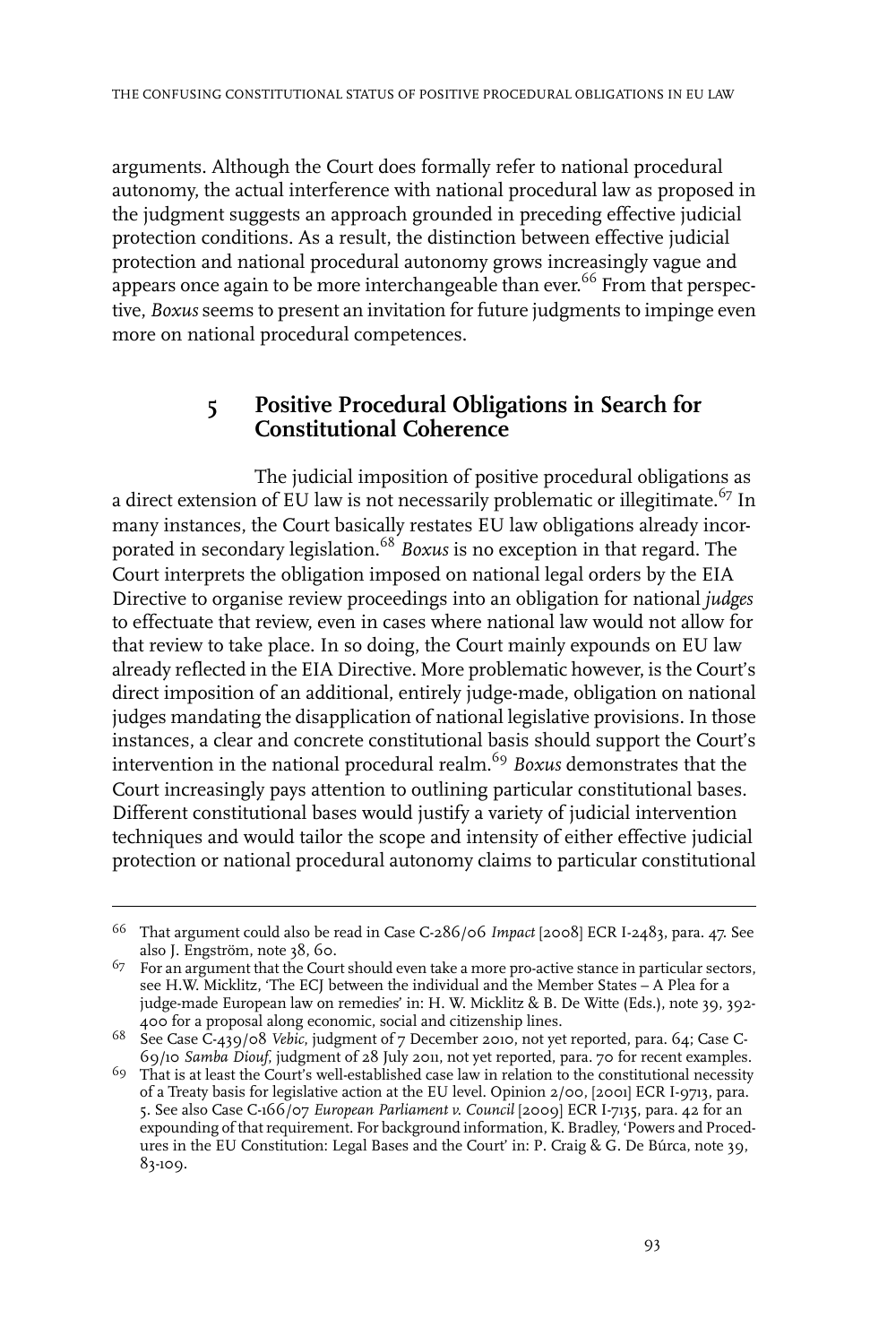arguments. Although the Court does formally refer to national procedural autonomy, the actual interference with national procedural law as proposed in the judgment suggests an approach grounded in preceding effective judicial protection conditions. As a result, the distinction between effective judicial protection and national procedural autonomy grows increasingly vague and appears once again to be more interchangeable than ever.<sup>66</sup> From that perspective, *Boxus* seems to present an invitation for future judgments to impinge even more on national procedural competences.

### **5 Positive Procedural Obligations in Search for Constitutional Coherence**

The judicial imposition of positive procedural obligations as a direct extension of EU law is not necessarily problematic or illegitimate.<sup>67</sup> In many instances, the Court basically restates EU law obligations already incorporated in secondary legislation.<sup>68</sup> *Boxus* is no exception in that regard. The Court interprets the obligation imposed on national legal orders by the EIA Directive to organise review proceedings into an obligation for national *judges* to effectuate that review, even in cases where national law would not allow for that review to take place. In so doing, the Court mainly expounds on EU law already reflected in the EIA Directive. More problematic however, is the Court's direct imposition of an additional, entirely judge-made, obligation on national judges mandating the disapplication of national legislative provisions. In those instances, a clear and concrete constitutional basis should support the Court's intervention in the national procedural realm.<sup>69</sup> *Boxus* demonstrates that the Court increasingly pays attention to outlining particular constitutional bases. Different constitutional bases would justify a variety of judicial intervention techniques and would tailor the scope and intensity of either effective judicial protection or national procedural autonomy claims to particular constitutional

<sup>&</sup>lt;sup>66</sup> That argument could also be read in Case C-286/06 *Impact* [2008] ECR I-2483, para. 47. See also J. Engström, note 38, 60.

 $^{67}$  For an argument that the Court should even take a more pro-active stance in particular sectors, see H.W. Micklitz, 'The ECJ between the individual and the Member States – A Plea for a judge-made European law on remedies' in: H. W. Micklitz & B. De Witte (Eds.), note 39, 392- 400 for a proposal along economic, social and citizenship lines.

<sup>&</sup>lt;sup>68</sup> See Case C-439/08 *Vebic*, judgment of 7 December 2010, not yet reported, para. 64; Case C-69/10 *Samba Diouf*, judgment of 28 July 2011, not yet reported, para. 70 for recent examples.

 $69$  That is at least the Court's well-established case law in relation to the constitutional necessity of a Treaty basis for legislative action at the EU level. Opinion 2/00, [2001] ECR I-9713, para. 5. See also Case C-166/07 *European Parliament v. Council* [2009] ECR I-7135, para. 42 for an expounding of that requirement. For background information, K. Bradley, 'Powers and Procedures in the EU Constitution: Legal Bases and the Court' in: P. Craig & G. De Búrca, note 39, 83-109.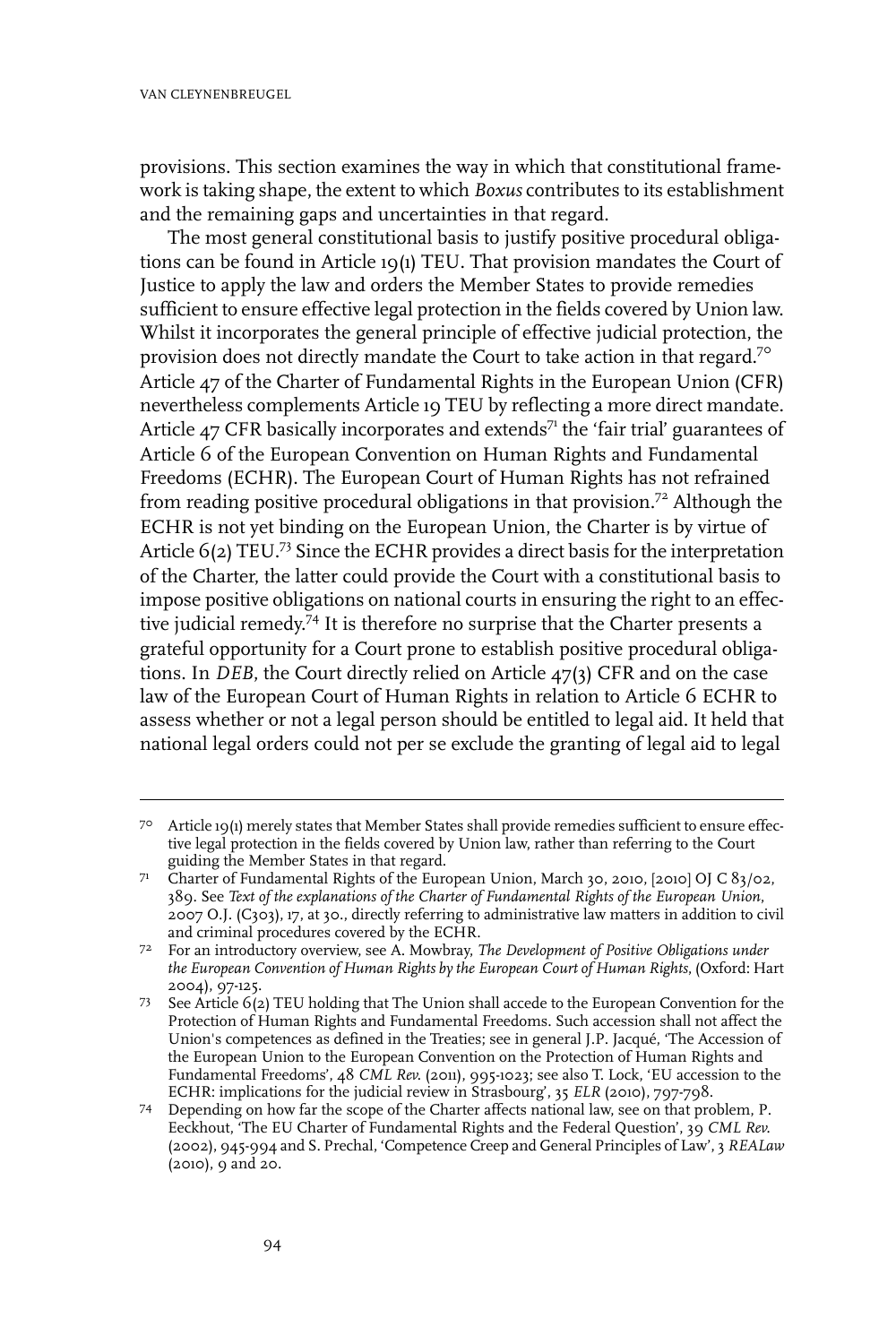provisions. This section examines the way in which that constitutional framework is taking shape, the extent to which *Boxus* contributes to its establishment and the remaining gaps and uncertainties in that regard.

The most general constitutional basis to justify positive procedural obligations can be found in Article 19(1) TEU. That provision mandates the Court of Justice to apply the law and orders the Member States to provide remedies sufficient to ensure effective legal protection in the fields covered by Union law. Whilst it incorporates the general principle of effective judicial protection, the provision does not directly mandate the Court to take action in that regard.<sup>70</sup> Article 47 of the Charter of Fundamental Rights in the European Union (CFR) nevertheless complements Article 19 TEU by reflecting a more direct mandate. Article  $47$  CFR basically incorporates and extends<sup>71</sup> the 'fair trial' guarantees of Article 6 of the European Convention on Human Rights and Fundamental Freedoms (ECHR). The European Court of Human Rights has not refrained from reading positive procedural obligations in that provision.<sup>72</sup> Although the ECHR is not yet binding on the European Union, the Charter is by virtue of Article 6(2) TEU.<sup>73</sup> Since the ECHR provides a direct basis for the interpretation of the Charter, the latter could provide the Court with a constitutional basis to impose positive obligations on national courts in ensuring the right to an effective judicial remedy. <sup>74</sup> It is therefore no surprise that the Charter presents a grateful opportunity for a Court prone to establish positive procedural obligations. In *DEB*, the Court directly relied on Article 47(3) CFR and on the case law of the European Court of Human Rights in relation to Article 6 ECHR to assess whether or not a legal person should be entitled to legal aid. It held that national legal orders could not per se exclude the granting of legal aid to legal

Article 19(1) merely states that Member States shall provide remedies sufficient to ensure effec-70 tive legal protection in the fields covered by Union law, rather than referring to the Court guiding the Member States in that regard.

Charter of Fundamental Rights of the European Union, March 30, 2010, [2010] OJ C 83/02, 71 389. See *Text of the explanations of the Charter of Fundamental Rights of the European Union*, 2007 O.J. (C303), 17, at 30., directly referring to administrative law matters in addition to civil and criminal procedures covered by the ECHR.

For an introductory overview, see A. Mowbray, *The Development of Positive Obligations under* 72 *the European Convention of Human Rights by the European Court of Human Rights*, (Oxford: Hart 2004), 97-125.

 $73$  See Article  $6(2)$  TEU holding that The Union shall accede to the European Convention for the Protection of Human Rights and Fundamental Freedoms. Such accession shall not affect the Union's competences as defined in the Treaties; see in general J.P. Jacqué, 'The Accession of the European Union to the European Convention on the Protection of Human Rights and Fundamental Freedoms', 48 *CML Rev.* (2011), 995-1023; see also T. Lock, 'EU accession to the ECHR: implications for the judicial review in Strasbourg', 35 *ELR* (2010), 797-798.

Depending on how far the scope of the Charter affects national law, see on that problem, P. 74 Eeckhout, 'The EU Charter of Fundamental Rights and the Federal Question', 39 *CML Rev.* (2002), 945-994 and S. Prechal, 'Competence Creep and General Principles of Law', 3 *REALaw* (2010), 9 and 20.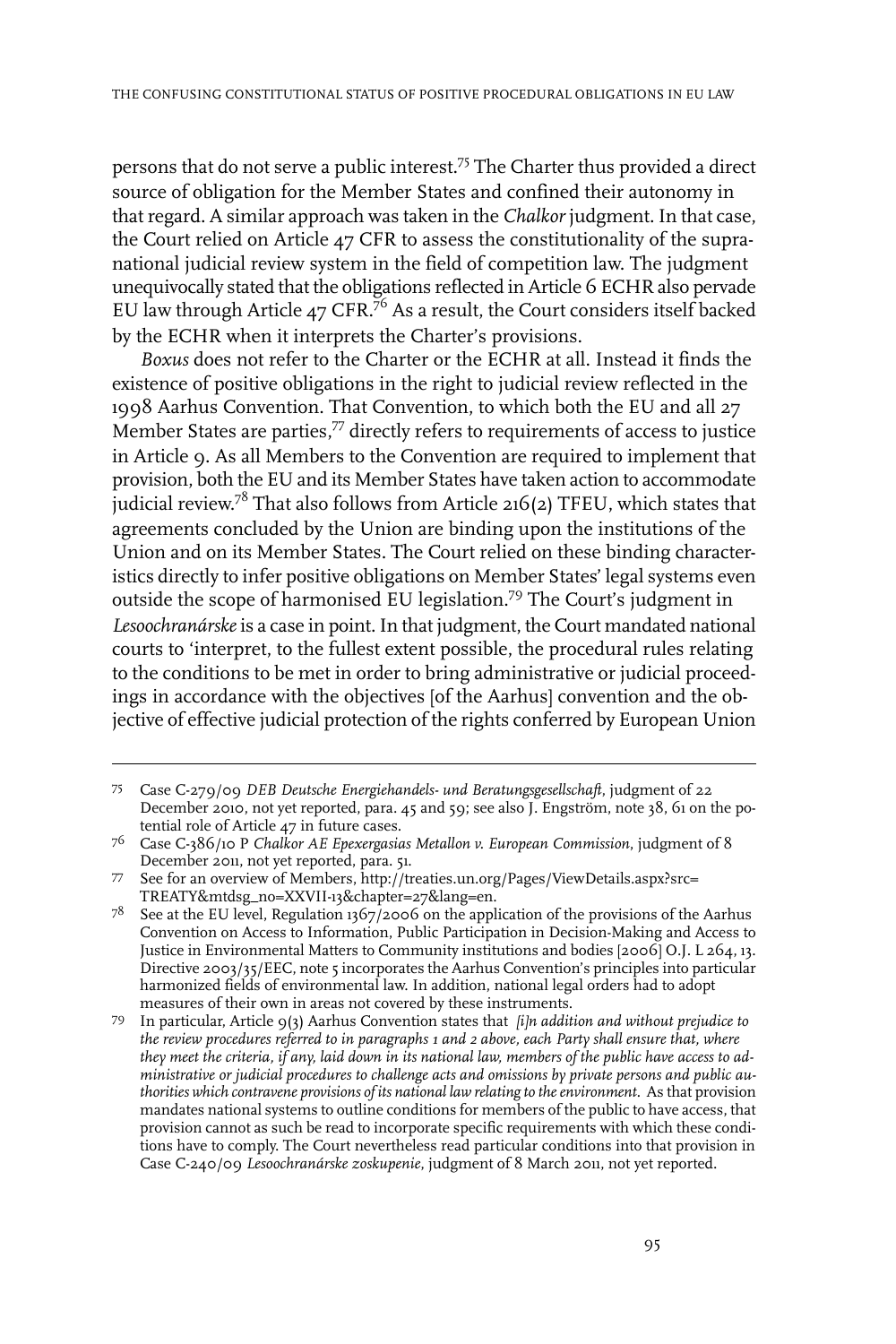persons that do not serve a public interest.<sup>75</sup> The Charter thus provided a direct source of obligation for the Member States and confined their autonomy in that regard. A similar approach was taken in the *Chalkor* judgment. In that case, the Court relied on Article 47 CFR to assess the constitutionality of the supranational judicial review system in the field of competition law. The judgment unequivocally stated that the obligations reflected in Article 6 ECHR also pervade EU law through Article 47 CFR.<sup>76</sup> As a result, the Court considers itself backed by the ECHR when it interprets the Charter's provisions.

*Boxus* does not refer to the Charter or the ECHR at all. Instead it finds the existence of positive obligations in the right to judicial review reflected in the 1998 Aarhus Convention. That Convention, to which both the EU and all 27 Member States are parties,<sup>77</sup> directly refers to requirements of access to justice in Article 9. As all Members to the Convention are required to implement that provision, both the EU and its Member States have taken action to accommodate judicial review. $^{78}$  That also follows from Article 216(2) TFEU, which states that agreements concluded by the Union are binding upon the institutions of the Union and on its Member States. The Court relied on these binding characteristics directly to infer positive obligations on Member States' legal systems even outside the scope of harmonised EU legislation.<sup>79</sup> The Court's judgment in *Lesoochranárske*is a case in point.In that judgment, the Court mandated national courts to 'interpret, to the fullest extent possible, the procedural rules relating to the conditions to be met in order to bring administrative or judicial proceedings in accordance with the objectives [of the Aarhus] convention and the objective of effective judicial protection of the rights conferred by European Union

Case C-279/09 *DEB Deutsche Energiehandels- und Beratungsgesellschaft*, judgment of 22 75 December 2010, not yet reported, para. 45 and 59; see also J. Engström, note 38, 61 on the potential role of Article 47 in future cases.

Case C-386/10 P *Chalkor AE Epexergasias Metallon v. European Commission*, judgment of 8 76 December 2011, not yet reported, para. 51.

See for an overview of Members, http://treaties.un.org/Pages/ViewDetails.aspx?src= 77 TREATY&mtdsg\_no=XXVII-13&chapter=27&lang=en.

 $^{78}$  See at the EU level, Regulation 1367/2006 on the application of the provisions of the Aarhus Convention on Access to Information, Public Participation in Decision-Making and Access to Justice in Environmental Matters to Community institutions and bodies [2006] O.J. L 264, 13. Directive 2003/35/EEC, note 5 incorporates the Aarhus Convention's principles into particular harmonized fields of environmental law.In addition, national legal orders had to adopt measures of their own in areas not covered by these instruments.

In particular, Article 9(3) Aarhus Convention states that *[i]n addition and without prejudice to* 79 *the review procedures referred to in paragraphs 1 and 2 above, each Party shall ensure that, where* they meet the criteria, if any, laid down in its national law, members of the public have access to ad*ministrative or judicial procedures to challenge acts and omissions by private persons and public authorities which contravene provisions of its national law relating to theenvironment.* As that provision mandates national systems to outline conditions for members of the public to have access, that provision cannot as such be read to incorporate specific requirements with which these conditions have to comply. The Court nevertheless read particular conditions into that provision in Case C-240/09 *Lesoochranárske zoskupenie*, judgment of 8 March 2011, not yet reported.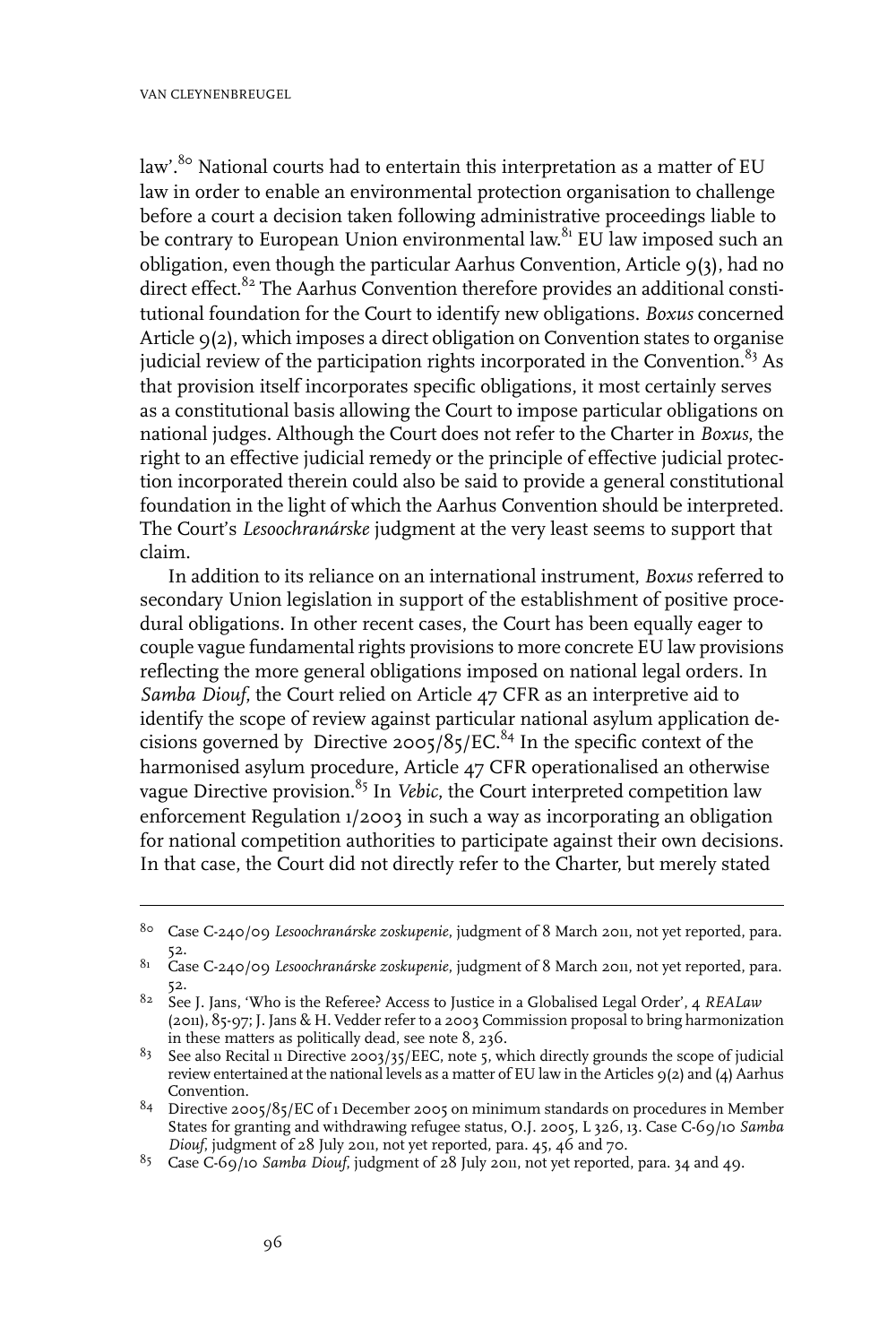law'.<sup>80</sup> National courts had to entertain this interpretation as a matter of EU law in order to enable an environmental protection organisation to challenge before a court a decision taken following administrative proceedings liable to be contrary to European Union environmental law.<sup>81</sup> EU law imposed such an obligation, even though the particular Aarhus Convention, Article 9(3), had no direct effect.<sup>82</sup> The Aarhus Convention therefore provides an additional constitutional foundation for the Court to identify new obligations. *Boxus* concerned Article 9(2), which imposes a direct obligation on Convention states to organise judicial review of the participation rights incorporated in the Convention. $83$  As that provision itself incorporates specific obligations, it most certainly serves as a constitutional basis allowing the Court to impose particular obligations on national judges. Although the Court does not refer to the Charter in *Boxus*, the right to an effective judicial remedy or the principle of effective judicial protection incorporated therein could also be said to provide a general constitutional foundation in the light of which the Aarhus Convention should be interpreted. The Court's *Lesoochranárske* judgment at the very least seems to support that claim.

In addition to its reliance on an international instrument, *Boxus* referred to secondary Union legislation in support of the establishment of positive procedural obligations. In other recent cases, the Court has been equally eager to couple vague fundamental rights provisions to more concrete EU law provisions reflecting the more general obligations imposed on national legal orders. In *Samba Diouf*, the Court relied on Article 47 CFR as an interpretive aid to identify the scope of review against particular national asylum application decisions governed by Directive 2005/85/EC.<sup>84</sup> In the specific context of the harmonised asylum procedure, Article 47 CFR operationalised an otherwise vague Directive provision.<sup>85</sup> In *Vebic*, the Court interpreted competition law enforcement Regulation 1/2003 in such a way as incorporating an obligation for national competition authorities to participate against their own decisions. In that case, the Court did not directly refer to the Charter, but merely stated

Case C-240/09 *Lesoochranárske zoskupenie*, judgment of 8 March 2011, not yet reported, para. 80 52.

Case C-240/09 *Lesoochranárske zoskupenie*, judgment of 8 March 2011, not yet reported, para. 81 52.

<sup>&</sup>lt;sup>82</sup> See J. Jans, 'Who is the Referee? Access to Justice in a Globalised Legal Order', 4 *REALaw* (2011), 85-97; J. Jans & H. Vedder refer to a 2003 Commission proposal to bring harmonization in these matters as politically dead, see note 8, 236.

<sup>&</sup>lt;sup>83</sup> See also Recital 11 Directive 2003/35/EEC, note 5, which directly grounds the scope of judicial review entertained at the national levels as a matter of EU law in the Articles 9(2) and (4) Aarhus Convention.

 $84$  Directive 2005/85/EC of 1 December 2005 on minimum standards on procedures in Member States for granting and withdrawing refugee status, O.J. 2005, L 326, 13. Case C-69/10 *Samba Diouf*, judgment of 28 July 2011, not yet reported, para. 45, 46 and 70.

<sup>&</sup>lt;sup>85</sup> Case C-69/10 *Samba Diouf*, judgment of 28 July 2011, not yet reported, para. 34 and 49.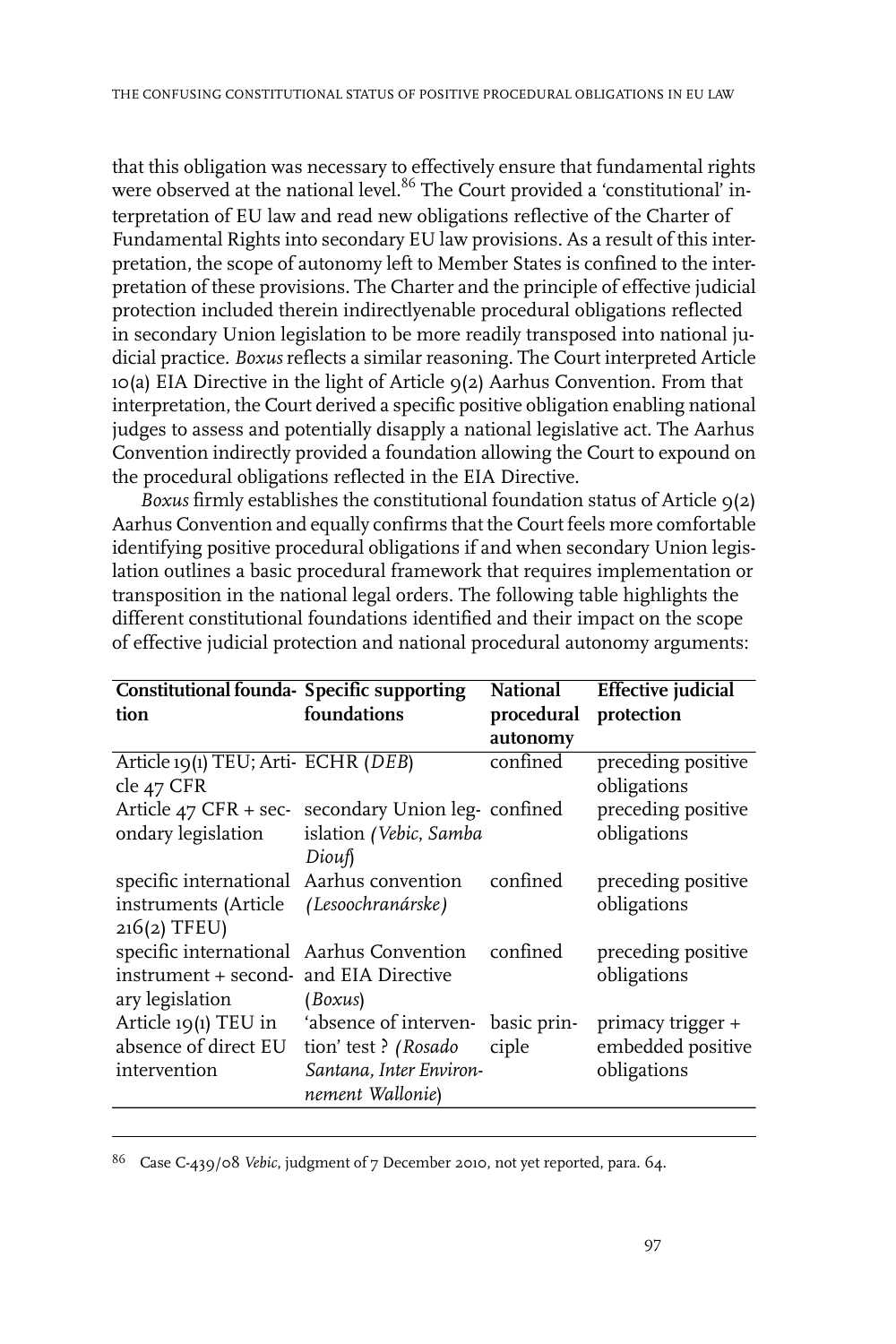that this obligation was necessary to effectively ensure that fundamental rights were observed at the national level.<sup>86</sup> The Court provided a 'constitutional' interpretation of EU law and read new obligations reflective of the Charter of Fundamental Rights into secondary EU law provisions. As a result of this interpretation, the scope of autonomy left to Member States is confined to the interpretation of these provisions. The Charter and the principle of effective judicial protection included therein indirectlyenable procedural obligations reflected in secondary Union legislation to be more readily transposed into national judicial practice. *Boxus* reflects a similar reasoning. The Court interpreted Article 10(a) EIA Directive in the light of Article 9(2) Aarhus Convention. From that interpretation, the Court derived a specific positive obligation enabling national judges to assess and potentially disapply a national legislative act. The Aarhus Convention indirectly provided a foundation allowing the Court to expound on the procedural obligations reflected in the EIA Directive.

*Boxus* firmly establishes the constitutional foundation status of Article  $q(2)$ Aarhus Convention and equally confirms that the Court feels more comfortable identifying positive procedural obligations if and when secondary Union legislation outlines a basic procedural framework that requires implementation or transposition in the national legal orders. The following table highlights the different constitutional foundations identified and their impact on the scope of effective judicial protection and national procedural autonomy arguments:

| <b>Constitutional founda- Specific supporting</b>                                                     |                                                                    | <b>National</b>      | <b>Effective</b> judicial                             |
|-------------------------------------------------------------------------------------------------------|--------------------------------------------------------------------|----------------------|-------------------------------------------------------|
| tion                                                                                                  | foundations                                                        | procedural           | protection                                            |
|                                                                                                       |                                                                    | autonomy             |                                                       |
| Article 19(1) TEU; Arti- ECHR (DEB)<br>cle 47 CFR                                                     |                                                                    | confined             | preceding positive<br>obligations                     |
| Article 47 CFR + sec-secondary Union leg-confined<br>ondary legislation                               | islation (Vebic, Samba<br>Diouf                                    |                      | preceding positive<br>obligations                     |
| specific international Aarhus convention<br>instruments (Article<br>$216(2)$ TFEU)                    | (Lesoochranárske)                                                  | confined             | preceding positive<br>obligations                     |
| specific international Aarhus Convention<br>instrument + second- and EIA Directive<br>ary legislation | (Boxus)                                                            | confined             | preceding positive<br>obligations                     |
| Article 19(1) TEU in 'absence of interven-<br>absence of direct EU<br>intervention                    | tion' test? (Rosado<br>Santana, Inter Environ-<br>nement Wallonie) | basic prin-<br>ciple | primacy trigger +<br>embedded positive<br>obligations |

<sup>86</sup> Case C-439/08 *Vebic*, judgment of 7 December 2010, not yet reported, para. 64.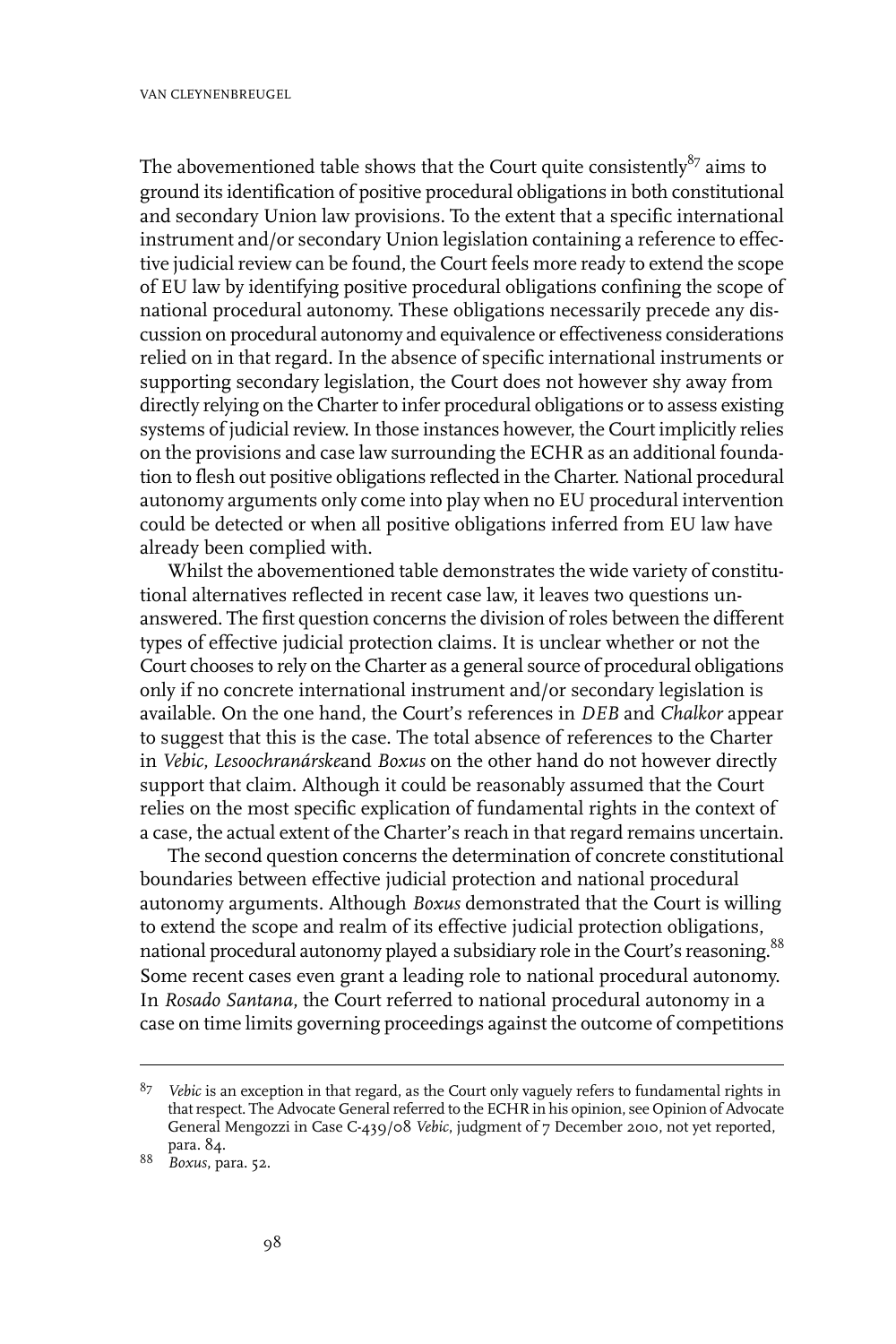The abovementioned table shows that the Court quite consistently $^{87}$  aims to ground its identification of positive procedural obligations in both constitutional and secondary Union law provisions. To the extent that a specific international instrument and/or secondary Union legislation containing a reference to effective judicial review can be found, the Court feels more ready to extend the scope of EU law by identifying positive procedural obligations confining the scope of national procedural autonomy. These obligations necessarily precede any discussion on procedural autonomy and equivalence or effectiveness considerations relied on in that regard. In the absence of specific international instruments or supporting secondary legislation, the Court does not however shy away from directly relying on the Charter to infer procedural obligations or to assess existing systems of judicial review. In those instances however, the Court implicitly relies on the provisions and case law surrounding the ECHR as an additional foundation to flesh out positive obligations reflected in the Charter. National procedural autonomy arguments only come into play when no EU procedural intervention could be detected or when all positive obligations inferred from EU law have already been complied with.

Whilst the abovementioned table demonstrates the wide variety of constitutional alternatives reflected in recent case law, it leaves two questions unanswered. The first question concerns the division ofroles between the different types of effective judicial protection claims. It is unclear whether or not the Court chooses to rely on the Charter as a general source of procedural obligations only if no concrete international instrument and/or secondary legislation is available. On the one hand, the Court's references in *DEB* and *Chalkor* appear to suggest that this is the case. The total absence of references to the Charter in *Vebic*, *Lesoochranárske*and *Boxus* on the other hand do not however directly support that claim. Although it could be reasonably assumed that the Court relies on the most specific explication of fundamental rights in the context of a case, the actual extent of the Charter's reach in that regard remains uncertain.

The second question concerns the determination of concrete constitutional boundaries between effective judicial protection and national procedural autonomy arguments. Although *Boxus* demonstrated that the Court is willing to extend the scope and realm of its effective judicial protection obligations, national procedural autonomy played a subsidiary role in the Court's reasoning.<sup>88</sup> Some recent cases even grant a leading role to national procedural autonomy. In *Rosado Santana*, the Court referred to national procedural autonomy in a case on time limits governing proceedings against the outcome of competitions

*Vebic* is an exception in that regard, as the Court only vaguely refers to fundamental rights in 87 that respect. The Advocate General referred to the ECHR in his opinion, see Opinion of Advocate General Mengozzi in Case C-439/08 *Vebic*, judgment of 7 December 2010, not yet reported, para. 84.

*Boxus*, para. 52. <sup>88</sup>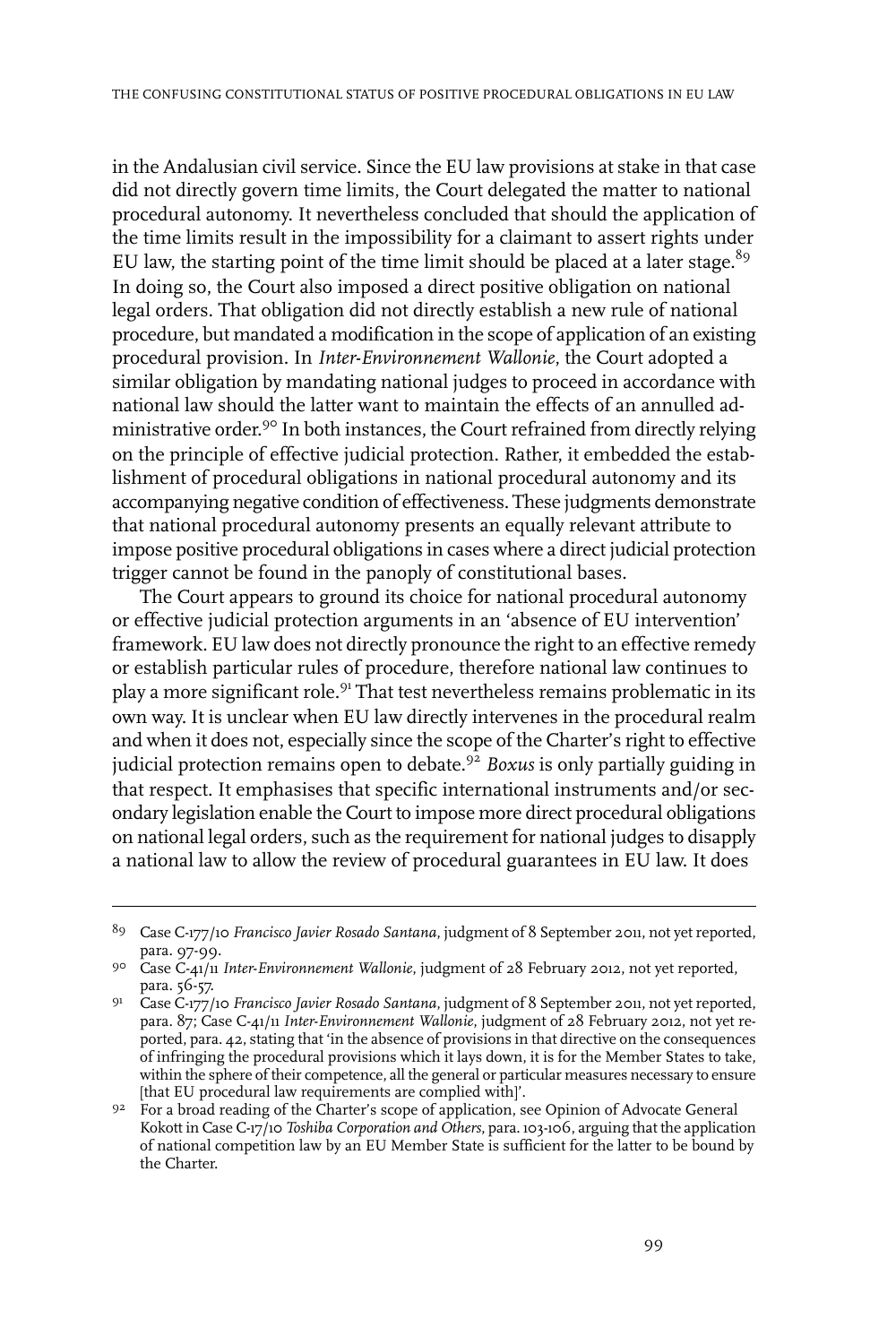in the Andalusian civil service. Since the EU law provisions at stake in that case did not directly govern time limits, the Court delegated the matter to national procedural autonomy. It nevertheless concluded that should the application of the time limits result in the impossibility for a claimant to assert rights under EU law, the starting point of the time limit should be placed at a later stage.<sup>89</sup> In doing so, the Court also imposed a direct positive obligation on national legal orders. That obligation did not directly establish a new rule of national procedure, but mandated a modification in the scope of application of an existing procedural provision. In *Inter-Environnement Wallonie*, the Court adopted a similar obligation by mandating national judges to proceed in accordance with national law should the latter want to maintain the effects of an annulled administrative order.<sup>90</sup> In both instances, the Court refrained from directly relying on the principle of effective judicial protection. Rather, it embedded the establishment of procedural obligations in national procedural autonomy and its accompanying negative condition of effectiveness. These judgments demonstrate that national procedural autonomy presents an equally relevant attribute to impose positive procedural obligations in cases where a direct judicial protection trigger cannot be found in the panoply of constitutional bases.

The Court appears to ground its choice for national procedural autonomy or effective judicial protection arguments in an 'absence of EU intervention' framework. EU law does not directly pronounce the right to an effective remedy or establish particular rules of procedure, therefore national law continues to play a more significant role.<sup>91</sup> That test nevertheless remains problematic in its own way. It is unclear when EU law directly intervenes in the procedural realm and when it does not, especially since the scope of the Charter's right to effective judicial protection remains open to debate.<sup>92</sup> *Boxus* is only partially guiding in that respect. It emphasises that specific international instruments and/or secondary legislation enable the Court to impose more direct procedural obligations on national legal orders, such as the requirement for national judges to disapply a national law to allow the review of procedural guarantees in EU law. It does

Case C-177/10 *Francisco Javier Rosado Santana*, judgment of 8 September 2011, not yet reported, 89 para. 97-99.

Case C-41/11 *Inter-Environnement Wallonie*, judgment of 28 February 2012, not yet reported, 90 para. 56-57.

Case C-177/10 *Francisco Javier Rosado Santana*, judgment of 8 September 2011, not yet reported, 91 para. 87; Case C-41/11 *Inter-Environnement Wallonie*, judgment of 28 February 2012, not yet reported, para. 42, stating that 'in the absence of provisions in that directive on the consequences of infringing the procedural provisions which it lays down, it is for the Member States to take, within the sphere of their competence, all the general or particular measures necessary to ensure [that EU procedural law requirements are complied with]'.

<sup>9&</sup>lt;sup>2</sup> For a broad reading of the Charter's scope of application, see Opinion of Advocate General Kokott in Case C-17/10 *Toshiba Corporation and Others*, para. 103-106, arguing that the application of national competition law by an EU Member State is sufficient for the latter to be bound by the Charter.